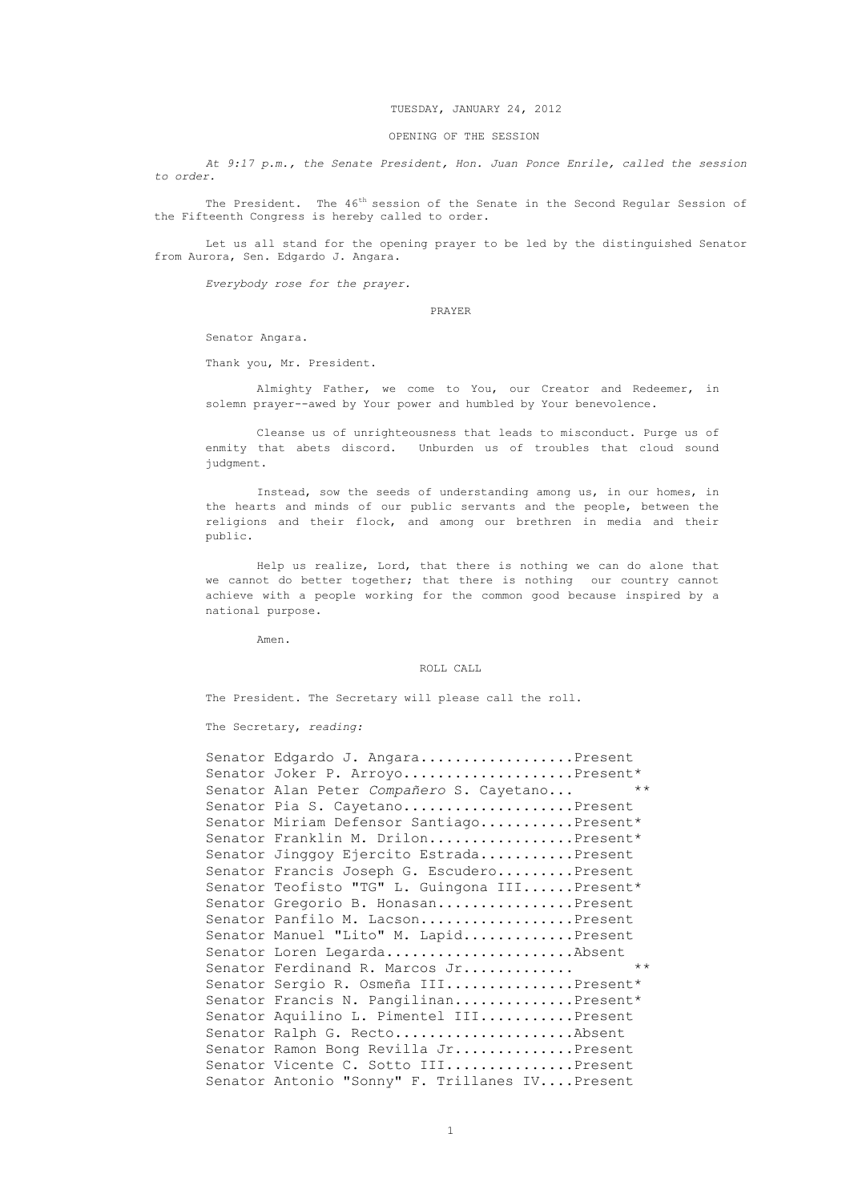# TUESDAY, JANUARY 24, 2012

# OPENING OF THE SESSION

*At 9:17 p.m., the Senate President, Hon. Juan Ponce Enrile, called the session to order.*

The President. The 46<sup>th</sup> session of the Senate in the Second Regular Session of the Fifteenth Congress is hereby called to order.

Let us all stand for the opening prayer to be led by the distinguished Senator from Aurora, Sen. Edgardo J. Angara.

*Everybody rose for the prayer.*

#### PRAYER

Senator Angara.

Thank you, Mr. President.

Almighty Father, we come to You, our Creator and Redeemer, in solemn prayer--awed by Your power and humbled by Your benevolence.

Cleanse us of unrighteousness that leads to misconduct. Purge us of enmity that abets discord. Unburden us of troubles that cloud sound judgment.

Instead, sow the seeds of understanding among us, in our homes, in the hearts and minds of our public servants and the people, between the religions and their flock, and among our brethren in media and their public.

Help us realize, Lord, that there is nothing we can do alone that we cannot do better together; that there is nothing our country cannot achieve with a people working for the common good because inspired by a national purpose.

Amen.

### ROLL CALL

The President. The Secretary will please call the roll.

The Secretary, *reading:*

| Senator Edgardo J. AngaraPresent                  |
|---------------------------------------------------|
| Senator Joker P. ArroyoPresent*                   |
| $***$<br>Senator Alan Peter Compañero S. Cayetano |
| Senator Pia S. CayetanoPresent                    |
| Senator Miriam Defensor SantiagoPresent*          |
| Senator Franklin M. DrilonPresent*                |
| Senator Jinggoy Ejercito EstradaPresent           |
| Senator Francis Joseph G. EscuderoPresent         |
| Senator Teofisto "TG" L. Guingona IIIPresent*     |
| Senator Gregorio B. HonasanPresent                |
| Senator Panfilo M. LacsonPresent                  |
| Senator Manuel "Lito" M. LapidPresent             |
| Senator Loren LegardaAbsent                       |
| $\star\star$<br>Senator Ferdinand R. Marcos Jr    |
| Senator Sergio R. Osmeña IIIPresent*              |
| Senator Francis N. PangilinanPresent*             |
| Senator Aquilino L. Pimentel IIIPresent           |
| Senator Ralph G. RectoAbsent                      |
| Senator Ramon Bong Revilla JrPresent              |
| Senator Vicente C. Sotto IIIPresent               |
| Senator Antonio "Sonny" F. Trillanes IVPresent    |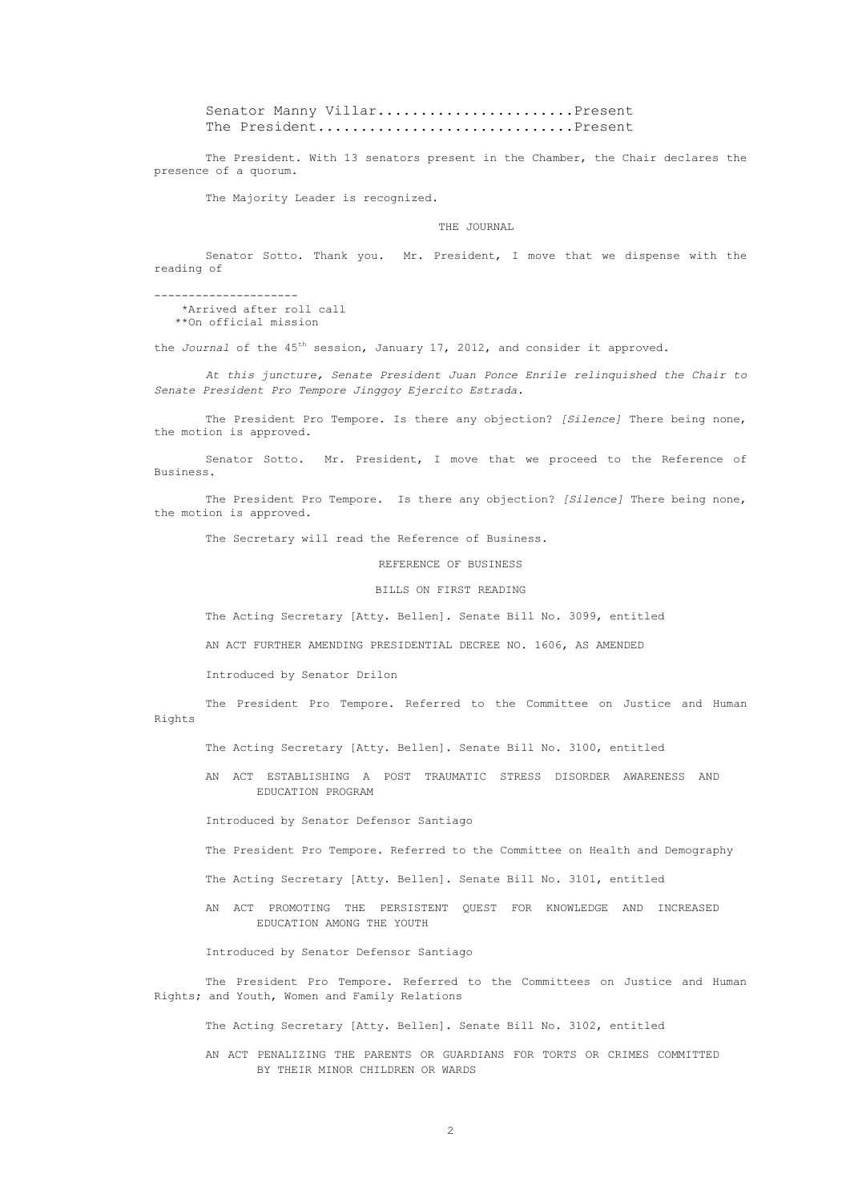Senator Manny Villar........................Present The President..............................Present

The President. With 13 senators present in the Chamber, the Chair declares the presence of a quorum.

The Majority Leader is recognized.

### THE JOURNAL

Senator Sotto. Thank you. Mr. President, I move that we dispense with the reading of

--------------------- \*Arrived after roll call \*\*On official mission

the *Journal* of the 45<sup>th</sup> session, January 17, 2012, and consider it approved.

*At this juncture, Senate President Juan Ponce Enrile relinquished the Chair to Senate President Pro Tempore Jinggoy Ejercito Estrada.*

The President Pro Tempore. Is there any objection? *[Silence]* There being none, the motion is approved.

Senator Sotto. Mr. President, I move that we proceed to the Reference of Business.

The President Pro Tempore. Is there any objection? *[Silence]* There being none, the motion is approved.

The Secretary will read the Reference of Business.

REFERENCE OF BUSINESS

# BILLS ON FIRST READING

The Acting Secretary [Atty. Bellen]. Senate Bill No. 3099, entitled

AN ACT FURTHER AMENDING PRESIDENTIAL DECREE NO. 1606, AS AMENDED

Introduced by Senator Drilon

The President Pro Tempore. Referred to the Committee on Justice and Human Rights

The Acting Secretary [Atty. Bellen]. Senate Bill No. 3100, entitled

AN ACT ESTABLISHING A POST TRAUMATIC STRESS DISORDER AWARENESS AND EDUCATION PROGRAM

Introduced by Senator Defensor Santiago

The President Pro Tempore. Referred to the Committee on Health and Demography

The Acting Secretary [Atty. Bellen]. Senate Bill No. 3101, entitled

AN ACT PROMOTING THE PERSISTENT QUEST FOR KNOWLEDGE AND INCREASED EDUCATION AMONG THE YOUTH

Introduced by Senator Defensor Santiago

The President Pro Tempore. Referred to the Committees on Justice and Human Rights; and Youth, Women and Family Relations

The Acting Secretary [Atty. Bellen]. Senate Bill No. 3102, entitled

AN ACT PENALIZING THE PARENTS OR GUARDIANS FOR TORTS OR CRIMES COMMITTED BY THEIR MINOR CHILDREN OR WARDS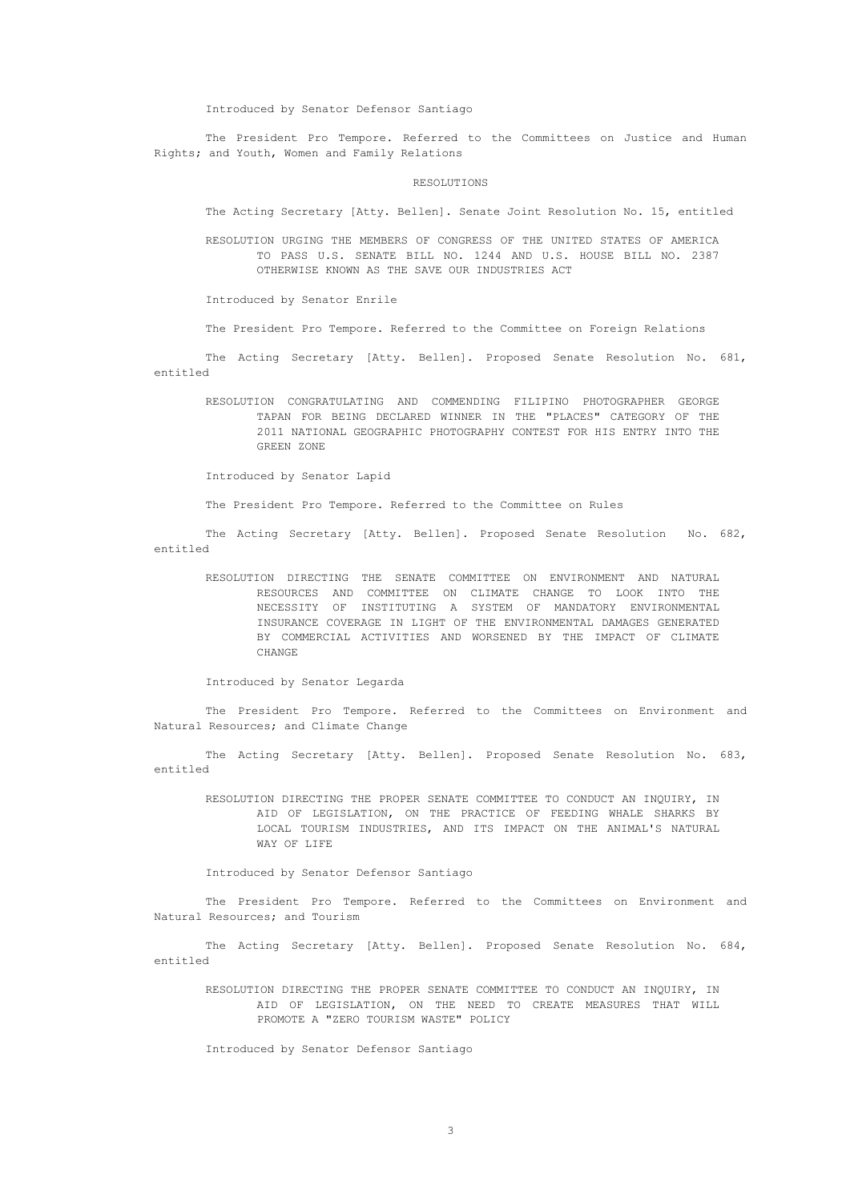Introduced by Senator Defensor Santiago

The President Pro Tempore. Referred to the Committees on Justice and Human Rights; and Youth, Women and Family Relations

### RESOLUTIONS

The Acting Secretary [Atty. Bellen]. Senate Joint Resolution No. 15, entitled

RESOLUTION URGING THE MEMBERS OF CONGRESS OF THE UNITED STATES OF AMERICA TO PASS U.S. SENATE BILL NO. 1244 AND U.S. HOUSE BILL NO. 2387 OTHERWISE KNOWN AS THE SAVE OUR INDUSTRIES ACT

Introduced by Senator Enrile

The President Pro Tempore. Referred to the Committee on Foreign Relations

The Acting Secretary [Atty. Bellen]. Proposed Senate Resolution No. 681, entitled

RESOLUTION CONGRATULATING AND COMMENDING FILIPINO PHOTOGRAPHER GEORGE TAPAN FOR BEING DECLARED WINNER IN THE "PLACES" CATEGORY OF THE 2011 NATIONAL GEOGRAPHIC PHOTOGRAPHY CONTEST FOR HIS ENTRY INTO THE GREEN ZONE

Introduced by Senator Lapid

The President Pro Tempore. Referred to the Committee on Rules

The Acting Secretary [Atty. Bellen]. Proposed Senate Resolution No. 682, entitled

RESOLUTION DIRECTING THE SENATE COMMITTEE ON ENVIRONMENT AND NATURAL RESOURCES AND COMMITTEE ON CLIMATE CHANGE TO LOOK INTO THE NECESSITY OF INSTITUTING A SYSTEM OF MANDATORY ENVIRONMENTAL INSURANCE COVERAGE IN LIGHT OF THE ENVIRONMENTAL DAMAGES GENERATED BY COMMERCIAL ACTIVITIES AND WORSENED BY THE IMPACT OF CLIMATE CHANGE

Introduced by Senator Legarda

The President Pro Tempore. Referred to the Committees on Environment and Natural Resources; and Climate Change

The Acting Secretary [Atty. Bellen]. Proposed Senate Resolution No. 683, entitled

RESOLUTION DIRECTING THE PROPER SENATE COMMITTEE TO CONDUCT AN INQUIRY, IN AID OF LEGISLATION, ON THE PRACTICE OF FEEDING WHALE SHARKS BY LOCAL TOURISM INDUSTRIES, AND ITS IMPACT ON THE ANIMAL'S NATURAL WAY OF LIFE

Introduced by Senator Defensor Santiago

The President Pro Tempore. Referred to the Committees on Environment and Natural Resources; and Tourism

The Acting Secretary [Atty. Bellen]. Proposed Senate Resolution No. 684, entitled

RESOLUTION DIRECTING THE PROPER SENATE COMMITTEE TO CONDUCT AN INQUIRY, IN AID OF LEGISLATION, ON THE NEED TO CREATE MEASURES THAT WILL PROMOTE A "ZERO TOURISM WASTE" POLICY

Introduced by Senator Defensor Santiago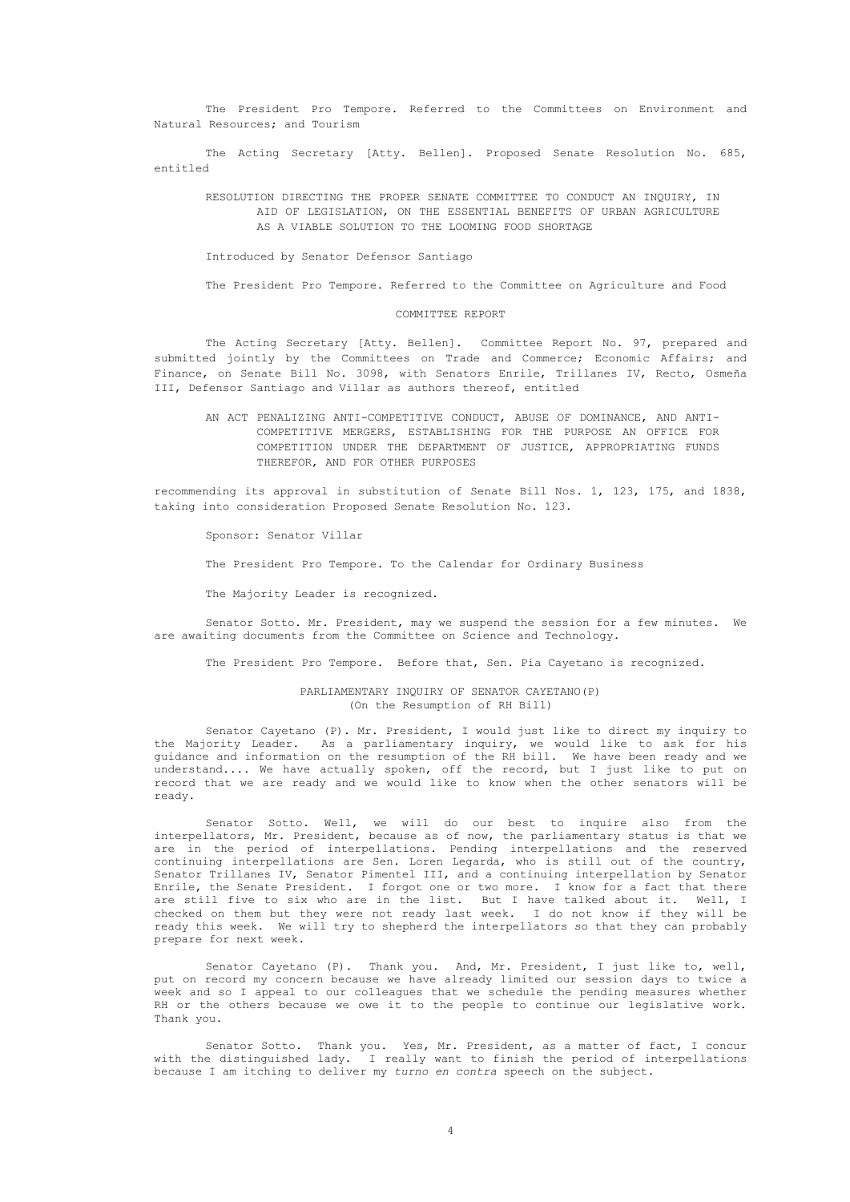The President Pro Tempore. Referred to the Committees on Environment and Natural Resources; and Tourism

The Acting Secretary [Atty. Bellen]. Proposed Senate Resolution No. 685, entitled

RESOLUTION DIRECTING THE PROPER SENATE COMMITTEE TO CONDUCT AN INQUIRY, IN AID OF LEGISLATION, ON THE ESSENTIAL BENEFITS OF URBAN AGRICULTURE AS A VIABLE SOLUTION TO THE LOOMING FOOD SHORTAGE

Introduced by Senator Defensor Santiago

The President Pro Tempore. Referred to the Committee on Agriculture and Food

### COMMITTEE REPORT

The Acting Secretary [Atty. Bellen]. Committee Report No. 97, prepared and submitted jointly by the Committees on Trade and Commerce; Economic Affairs; and Finance, on Senate Bill No. 3098, with Senators Enrile, Trillanes IV, Recto, Osmeña III, Defensor Santiago and Villar as authors thereof, entitled

AN ACT PENALIZING ANTI-COMPETITIVE CONDUCT, ABUSE OF DOMINANCE, AND ANTI-COMPETITIVE MERGERS, ESTABLISHING FOR THE PURPOSE AN OFFICE FOR COMPETITION UNDER THE DEPARTMENT OF JUSTICE, APPROPRIATING FUNDS THEREFOR, AND FOR OTHER PURPOSES

recommending its approval in substitution of Senate Bill Nos. 1, 123, 175, and 1838, taking into consideration Proposed Senate Resolution No. 123.

Sponsor: Senator Villar

The President Pro Tempore. To the Calendar for Ordinary Business

The Majority Leader is recognized.

Senator Sotto. Mr. President, may we suspend the session for a few minutes. We are awaiting documents from the Committee on Science and Technology.

The President Pro Tempore. Before that, Sen. Pia Cayetano is recognized.

## PARLIAMENTARY INQUIRY OF SENATOR CAYETANO(P) (On the Resumption of RH Bill)

Senator Cayetano (P). Mr. President, I would just like to direct my inquiry to the Majority Leader. As a parliamentary inquiry, we would like to ask for his guidance and information on the resumption of the RH bill. We have been ready and we understand.... We have actually spoken, off the record, but I just like to put on record that we are ready and we would like to know when the other senators will be ready.

Senator Sotto. Well, we will do our best to inquire also from the interpellators, Mr. President, because as of now, the parliamentary status is that we are in the period of interpellations. Pending interpellations and the reserved continuing interpellations are Sen. Loren Legarda, who is still out of the country, Senator Trillanes IV, Senator Pimentel III, and a continuing interpellation by Senator Enrile, the Senate President. I forgot one or two more. I know for a fact that there are still five to six who are in the list. But I have talked about it. Well, I checked on them but they were not ready last week. I do not know if they will be ready this week. We will try to shepherd the interpellators so that they can probably prepare for next week.

Senator Cayetano (P). Thank you. And, Mr. President, I just like to, well, put on record my concern because we have already limited our session days to twice a week and so I appeal to our colleagues that we schedule the pending measures whether RH or the others because we owe it to the people to continue our legislative work. Thank you.

Senator Sotto. Thank you. Yes, Mr. President, as a matter of fact, I concur with the distinguished lady. I really want to finish the period of interpellations because I am itching to deliver my *turno en contra* speech on the subject.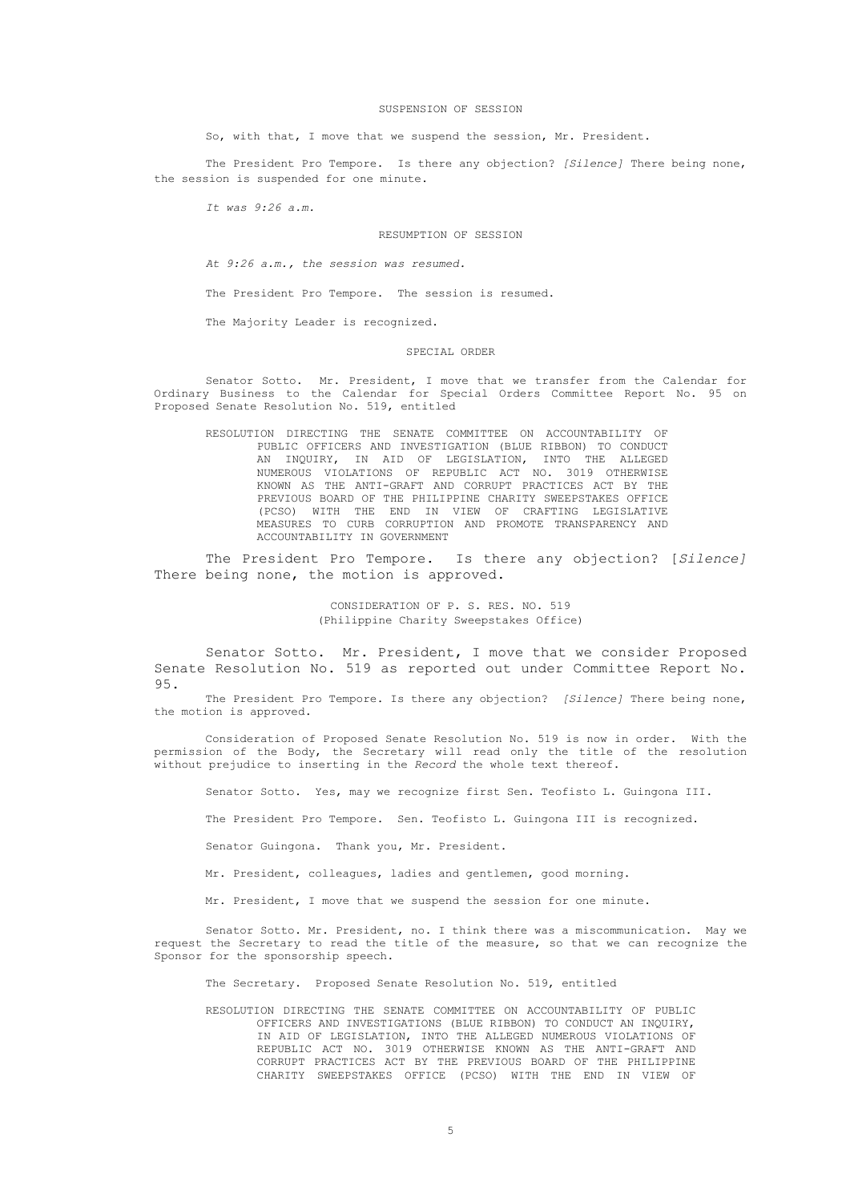#### SUSPENSION OF SESSION

So, with that, I move that we suspend the session, Mr. President.

The President Pro Tempore. Is there any objection? *[Silence]* There being none, the session is suspended for one minute.

*It was 9:26 a.m.*

#### RESUMPTION OF SESSION

*At 9:26 a.m., the session was resumed.*

The President Pro Tempore. The session is resumed.

The Majority Leader is recognized.

### SPECIAL ORDER

Senator Sotto. Mr. President, I move that we transfer from the Calendar for Ordinary Business to the Calendar for Special Orders Committee Report No. 95 on Proposed Senate Resolution No. 519, entitled

RESOLUTION DIRECTING THE SENATE COMMITTEE ON ACCOUNTABILITY OF PUBLIC OFFICERS AND INVESTIGATION (BLUE RIBBON) TO CONDUCT AN INQUIRY, IN AID OF LEGISLATION, INTO THE ALLEGED NUMEROUS VIOLATIONS OF REPUBLIC ACT NO. 3019 OTHERWISE KNOWN AS THE ANTI-GRAFT AND CORRUPT PRACTICES ACT BY THE PREVIOUS BOARD OF THE PHILIPPINE CHARITY SWEEPSTAKES OFFICE (PCSO) WITH THE END IN VIEW OF CRAFTING LEGISLATIVE MEASURES TO CURB CORRUPTION AND PROMOTE TRANSPARENCY AND ACCOUNTABILITY IN GOVERNMENT

The President Pro Tempore. Is there any objection? [*Silence]* There being none, the motion is approved.

> CONSIDERATION OF P. S. RES. NO. 519 (Philippine Charity Sweepstakes Office)

Senator Sotto. Mr. President, I move that we consider Proposed Senate Resolution No. 519 as reported out under Committee Report No. 95.

The President Pro Tempore. Is there any objection? *[Silence]* There being none, the motion is approved.

Consideration of Proposed Senate Resolution No. 519 is now in order. With the permission of the Body, the Secretary will read only the title of the resolution without prejudice to inserting in the *Record* the whole text thereof.

Senator Sotto. Yes, may we recognize first Sen. Teofisto L. Guingona III.

The President Pro Tempore. Sen. Teofisto L. Guingona III is recognized.

Senator Guingona. Thank you, Mr. President.

Mr. President, colleagues, ladies and gentlemen, good morning.

Mr. President, I move that we suspend the session for one minute.

Senator Sotto. Mr. President, no. I think there was a miscommunication. May we request the Secretary to read the title of the measure, so that we can recognize the Sponsor for the sponsorship speech.

The Secretary. Proposed Senate Resolution No. 519, entitled

## RESOLUTION DIRECTING THE SENATE COMMITTEE ON ACCOUNTABILITY OF PUBLIC OFFICERS AND INVESTIGATIONS (BLUE RIBBON) TO CONDUCT AN INQUIRY, IN AID OF LEGISLATION, INTO THE ALLEGED NUMEROUS VIOLATIONS OF REPUBLIC ACT NO. 3019 OTHERWISE KNOWN AS THE ANTI-GRAFT AND CORRUPT PRACTICES ACT BY THE PREVIOUS BOARD OF THE PHILIPPINE CHARITY SWEEPSTAKES OFFICE (PCSO) WITH THE END IN VIEW OF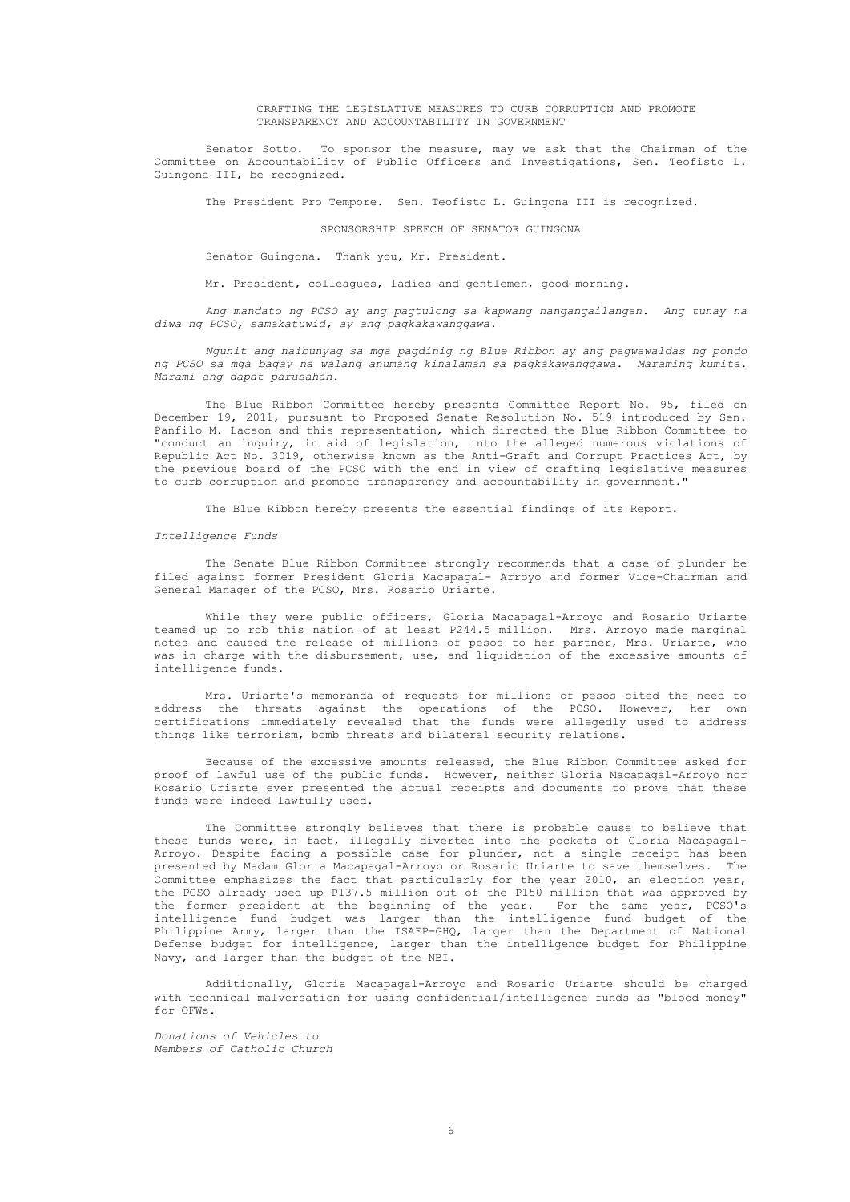### CRAFTING THE LEGISLATIVE MEASURES TO CURB CORRUPTION AND PROMOTE TRANSPARENCY AND ACCOUNTABILITY IN GOVERNMENT

Senator Sotto. To sponsor the measure, may we ask that the Chairman of the Committee on Accountability of Public Officers and Investigations, Sen. Teofisto L. Guingona III, be recognized.

The President Pro Tempore. Sen. Teofisto L. Guingona III is recognized.

## SPONSORSHIP SPEECH OF SENATOR GUINGONA

Senator Guingona. Thank you, Mr. President.

Mr. President, colleagues, ladies and gentlemen, good morning.

*Ang mandato ng PCSO ay ang pagtulong sa kapwang nangangailangan. Ang tunay na diwa ng PCSO, samakatuwid, ay ang pagkakawanggawa.*

*Ngunit ang naibunyag sa mga pagdinig ng Blue Ribbon ay ang pagwawaldas ng pondo ng PCSO sa mga bagay na walang anumang kinalaman sa pagkakawanggawa. Maraming kumita. Marami ang dapat parusahan.*

The Blue Ribbon Committee hereby presents Committee Report No. 95, filed on December 19, 2011, pursuant to Proposed Senate Resolution No. 519 introduced by Sen. Panfilo M. Lacson and this representation, which directed the Blue Ribbon Committee to "conduct an inquiry, in aid of legislation, into the alleged numerous violations of Republic Act No. 3019, otherwise known as the Anti-Graft and Corrupt Practices Act, by the previous board of the PCSO with the end in view of crafting legislative measures to curb corruption and promote transparency and accountability in government."

The Blue Ribbon hereby presents the essential findings of its Report.

## *Intelligence Funds*

The Senate Blue Ribbon Committee strongly recommends that a case of plunder be filed against former President Gloria Macapagal- Arroyo and former Vice-Chairman and General Manager of the PCSO, Mrs. Rosario Uriarte.

While they were public officers, Gloria Macapagal-Arroyo and Rosario Uriarte teamed up to rob this nation of at least P244.5 million. Mrs. Arroyo made marginal notes and caused the release of millions of pesos to her partner, Mrs. Uriarte, who was in charge with the disbursement, use, and liquidation of the excessive amounts of intelligence funds.

Mrs. Uriarte's memoranda of requests for millions of pesos cited the need to address the threats against the operations of the PCSO. However, her own certifications immediately revealed that the funds were allegedly used to address things like terrorism, bomb threats and bilateral security relations.

Because of the excessive amounts released, the Blue Ribbon Committee asked for proof of lawful use of the public funds. However, neither Gloria Macapagal-Arroyo nor Rosario Uriarte ever presented the actual receipts and documents to prove that these funds were indeed lawfully used.

The Committee strongly believes that there is probable cause to believe that these funds were, in fact, illegally diverted into the pockets of Gloria Macapagal-Arroyo. Despite facing a possible case for plunder, not a single receipt has been presented by Madam Gloria Macapagal-Arroyo or Rosario Uriarte to save themselves. The Committee emphasizes the fact that particularly for the year 2010, an election year, the PCSO already used up P137.5 million out of the P150 million that was approved by the former president at the beginning of the year. For the same year, PCSO's intelligence fund budget was larger than the intelligence fund budget of the Philippine Army, larger than the ISAFP-GHQ, larger than the Department of National Defense budget for intelligence, larger than the intelligence budget for Philippine Navy, and larger than the budget of the NBI.

Additionally, Gloria Macapagal-Arroyo and Rosario Uriarte should be charged with technical malversation for using confidential/intelligence funds as "blood money" for OFWs.

*Donations of Vehicles to Members of Catholic Church*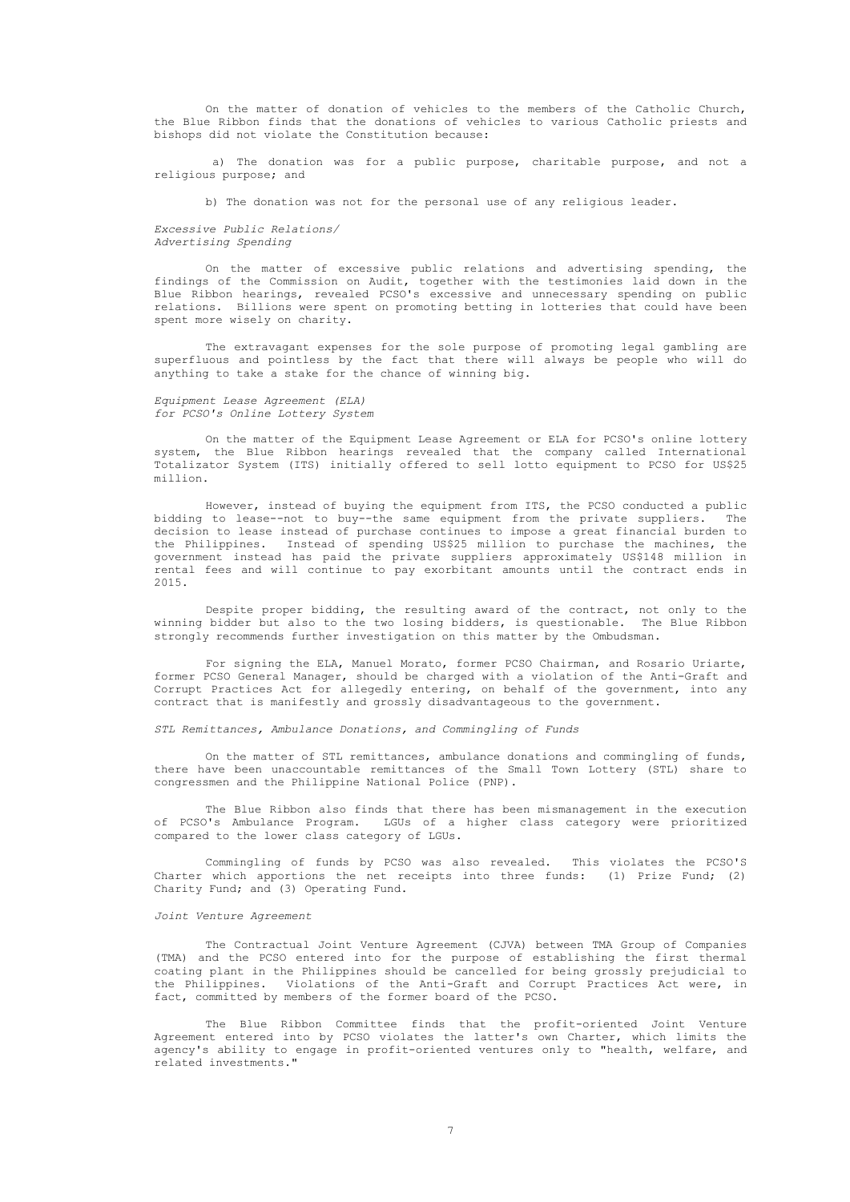On the matter of donation of vehicles to the members of the Catholic Church, the Blue Ribbon finds that the donations of vehicles to various Catholic priests and bishops did not violate the Constitution because:

a) The donation was for a public purpose, charitable purpose, and not a religious purpose; and

b) The donation was not for the personal use of any religious leader.

*Excessive Public Relations/ Advertising Spending*

On the matter of excessive public relations and advertising spending, the findings of the Commission on Audit, together with the testimonies laid down in the Blue Ribbon hearings, revealed PCSO's excessive and unnecessary spending on public relations. Billions were spent on promoting betting in lotteries that could have been spent more wisely on charity.

The extravagant expenses for the sole purpose of promoting legal gambling are superfluous and pointless by the fact that there will always be people who will do anything to take a stake for the chance of winning big.

*Equipment Lease Agreement (ELA) for PCSO's Online Lottery System*

On the matter of the Equipment Lease Agreement or ELA for PCSO's online lottery system, the Blue Ribbon hearings revealed that the company called International Totalizator System (ITS) initially offered to sell lotto equipment to PCSO for US\$25 million.

However, instead of buying the equipment from ITS, the PCSO conducted a public bidding to lease--not to buy--the same equipment from the private suppliers. The decision to lease instead of purchase continues to impose a great financial burden to the Philippines. Instead of spending US\$25 million to purchase the machines, the government instead has paid the private suppliers approximately US\$148 million in rental fees and will continue to pay exorbitant amounts until the contract ends in 2015.

Despite proper bidding, the resulting award of the contract, not only to the winning bidder but also to the two losing bidders, is questionable. The Blue Ribbon strongly recommends further investigation on this matter by the Ombudsman.

For signing the ELA, Manuel Morato, former PCSO Chairman, and Rosario Uriarte, former PCSO General Manager, should be charged with a violation of the Anti-Graft and Corrupt Practices Act for allegedly entering, on behalf of the government, into any contract that is manifestly and grossly disadvantageous to the government.

*STL Remittances, Ambulance Donations, and Commingling of Funds* 

On the matter of STL remittances, ambulance donations and commingling of funds, there have been unaccountable remittances of the Small Town Lottery (STL) share to congressmen and the Philippine National Police (PNP).

The Blue Ribbon also finds that there has been mismanagement in the execution of PCSO's Ambulance Program. LGUs of a higher class category were prioritized compared to the lower class category of LGUs.

Commingling of funds by PCSO was also revealed. This violates the PCSO'S Charter which apportions the net receipts into three funds: (1) Prize Fund; (2) Charity Fund; and (3) Operating Fund.

# *Joint Venture Agreement*

The Contractual Joint Venture Agreement (CJVA) between TMA Group of Companies (TMA) and the PCSO entered into for the purpose of establishing the first thermal coating plant in the Philippines should be cancelled for being grossly prejudicial to the Philippines. Violations of the Anti-Graft and Corrupt Practices Act were, in fact, committed by members of the former board of the PCSO.

The Blue Ribbon Committee finds that the profit-oriented Joint Venture Agreement entered into by PCSO violates the latter's own Charter, which limits the agency's ability to engage in profit-oriented ventures only to "health, welfare, and related investments."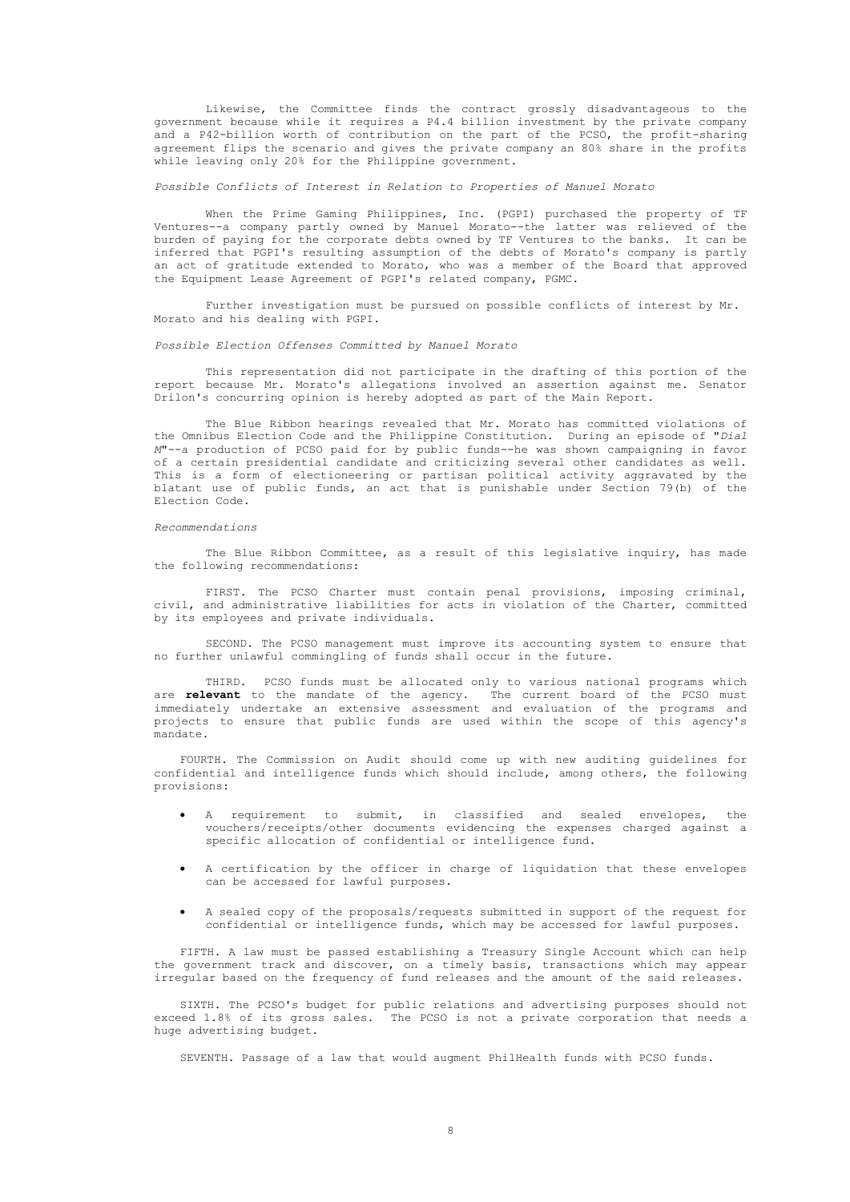Likewise, the Committee finds the contract grossly disadvantageous to the government because while it requires a P4.4 billion investment by the private company and a P42-billion worth of contribution on the part of the PCSO, the profit-sharing agreement flips the scenario and gives the private company an 80% share in the profits while leaving only 20% for the Philippine government.

#### *Possible Conflicts of Interest in Relation to Properties of Manuel Morato*

When the Prime Gaming Philippines, Inc. (PGPI) purchased the property of TF Ventures--a company partly owned by Manuel Morato--the latter was relieved of the burden of paying for the corporate debts owned by TF Ventures to the banks. It can be inferred that PGPI's resulting assumption of the debts of Morato's company is partly an act of gratitude extended to Morato, who was a member of the Board that approved the Equipment Lease Agreement of PGPI's related company, PGMC.

Further investigation must be pursued on possible conflicts of interest by Mr. Morato and his dealing with PGPI.

## *Possible Election Offenses Committed by Manuel Morato*

This representation did not participate in the drafting of this portion of the report because Mr. Morato's allegations involved an assertion against me. Senator Drilon's concurring opinion is hereby adopted as part of the Main Report.

The Blue Ribbon hearings revealed that Mr. Morato has committed violations of the Omnibus Election Code and the Philippine Constitution. During an episode of "*Dial M*"--a production of PCSO paid for by public funds--he was shown campaigning in favor of a certain presidential candidate and criticizing several other candidates as well. This is a form of electioneering or partisan political activity aggravated by the blatant use of public funds, an act that is punishable under Section 79(b) of the Election Code.

### *Recommendations*

The Blue Ribbon Committee, as a result of this legislative inquiry, has made the following recommendations:

FIRST. The PCSO Charter must contain penal provisions, imposing criminal, civil, and administrative liabilities for acts in violation of the Charter, committed by its employees and private individuals.

SECOND. The PCSO management must improve its accounting system to ensure that no further unlawful commingling of funds shall occur in the future.

THIRD. PCSO funds must be allocated only to various national programs which are **relevant** to the mandate of the agency. The current board of the PCSO must immediately undertake an extensive assessment and evaluation of the programs and projects to ensure that public funds are used within the scope of this agency's mandate.

FOURTH. The Commission on Audit should come up with new auditing guidelines for confidential and intelligence funds which should include, among others, the following provisions:

- A requirement to submit, in classified and sealed envelopes, the vouchers/receipts/other documents evidencing the expenses charged against a specific allocation of confidential or intelligence fund.
- A certification by the officer in charge of liquidation that these envelopes can be accessed for lawful purposes.
- A sealed copy of the proposals/requests submitted in support of the request for confidential or intelligence funds, which may be accessed for lawful purposes.

FIFTH. A law must be passed establishing a Treasury Single Account which can help the government track and discover, on a timely basis, transactions which may appear irregular based on the frequency of fund releases and the amount of the said releases.

SIXTH. The PCSO's budget for public relations and advertising purposes should not exceed 1.8% of its gross sales. The PCSO is not a private corporation that needs a huge advertising budget.

SEVENTH. Passage of a law that would augment PhilHealth funds with PCSO funds.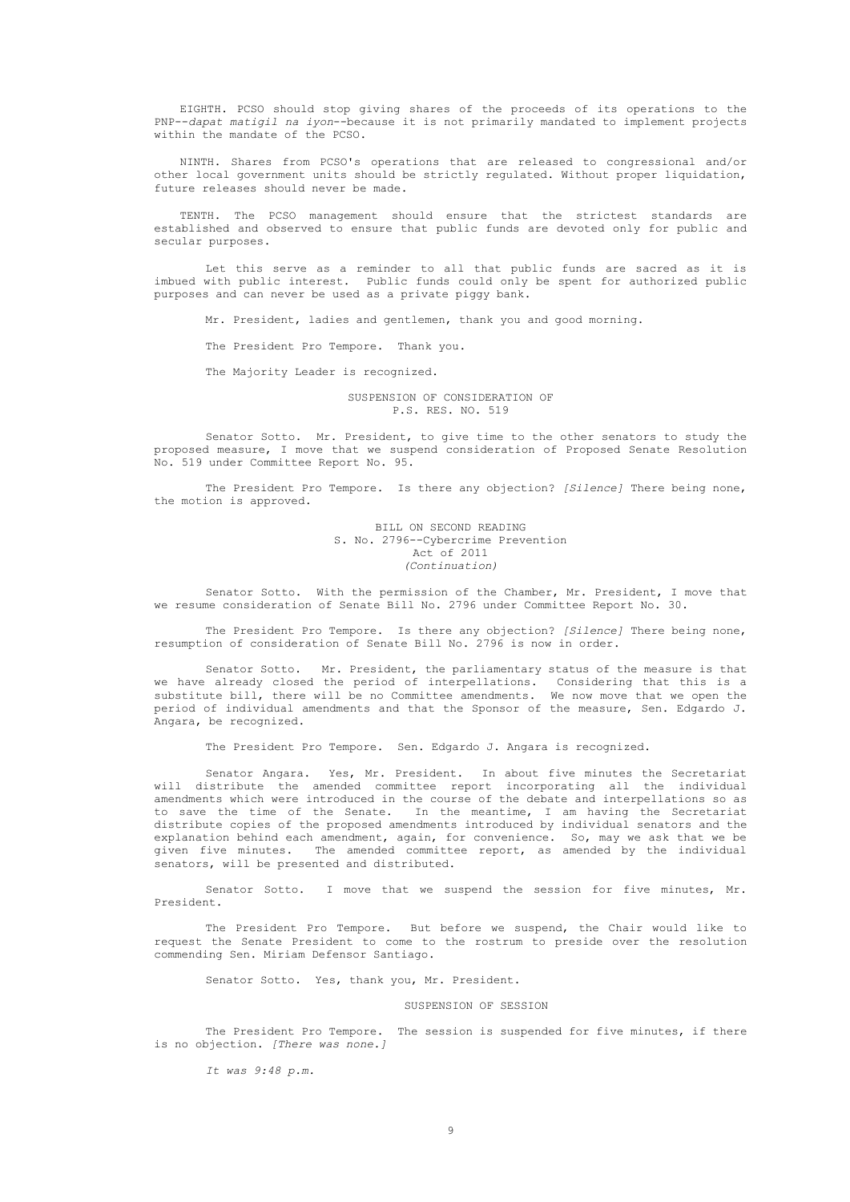EIGHTH. PCSO should stop giving shares of the proceeds of its operations to the PNP--*dapat matigil na iyon*--because it is not primarily mandated to implement projects within the mandate of the PCSO.

NINTH. Shares from PCSO's operations that are released to congressional and/or other local government units should be strictly regulated. Without proper liquidation, future releases should never be made.

TENTH. The PCSO management should ensure that the strictest standards are established and observed to ensure that public funds are devoted only for public and secular purposes.

Let this serve as a reminder to all that public funds are sacred as it is imbued with public interest. Public funds could only be spent for authorized public purposes and can never be used as a private piggy bank.

Mr. President, ladies and gentlemen, thank you and good morning.

The President Pro Tempore. Thank you.

The Majority Leader is recognized.

SUSPENSION OF CONSIDERATION OF P.S. RES. NO. 519

Senator Sotto. Mr. President, to give time to the other senators to study the proposed measure, I move that we suspend consideration of Proposed Senate Resolution No. 519 under Committee Report No. 95.

The President Pro Tempore. Is there any objection? *[Silence]* There being none, the motion is approved.

> BILL ON SECOND READING S. No. 2796--Cybercrime Prevention Act of 2011 *(Continuation)*

Senator Sotto. With the permission of the Chamber, Mr. President, I move that we resume consideration of Senate Bill No. 2796 under Committee Report No. 30.

The President Pro Tempore. Is there any objection? *[Silence]* There being none, resumption of consideration of Senate Bill No. 2796 is now in order.

Senator Sotto. Mr. President, the parliamentary status of the measure is that we have already closed the period of interpellations. Considering that this is a substitute bill, there will be no Committee amendments. We now move that we open the period of individual amendments and that the Sponsor of the measure, Sen. Edgardo J. Angara, be recognized.

The President Pro Tempore. Sen. Edgardo J. Angara is recognized.

Senator Angara. Yes, Mr. President. In about five minutes the Secretariat will distribute the amended committee report incorporating all the individual amendments which were introduced in the course of the debate and interpellations so as to save the time of the Senate. In the meantime, I am having the Secretariat distribute copies of the proposed amendments introduced by individual senators and the explanation behind each amendment, again, for convenience. So, may we ask that we be given five minutes. The amended committee report, as amended by the individual senators, will be presented and distributed.

Senator Sotto. I move that we suspend the session for five minutes, Mr. President.

The President Pro Tempore. But before we suspend, the Chair would like to request the Senate President to come to the rostrum to preside over the resolution commending Sen. Miriam Defensor Santiago.

Senator Sotto. Yes, thank you, Mr. President.

## SUSPENSION OF SESSION

The President Pro Tempore. The session is suspended for five minutes, if there is no objection. *[There was none.]*

*It was 9:48 p.m.*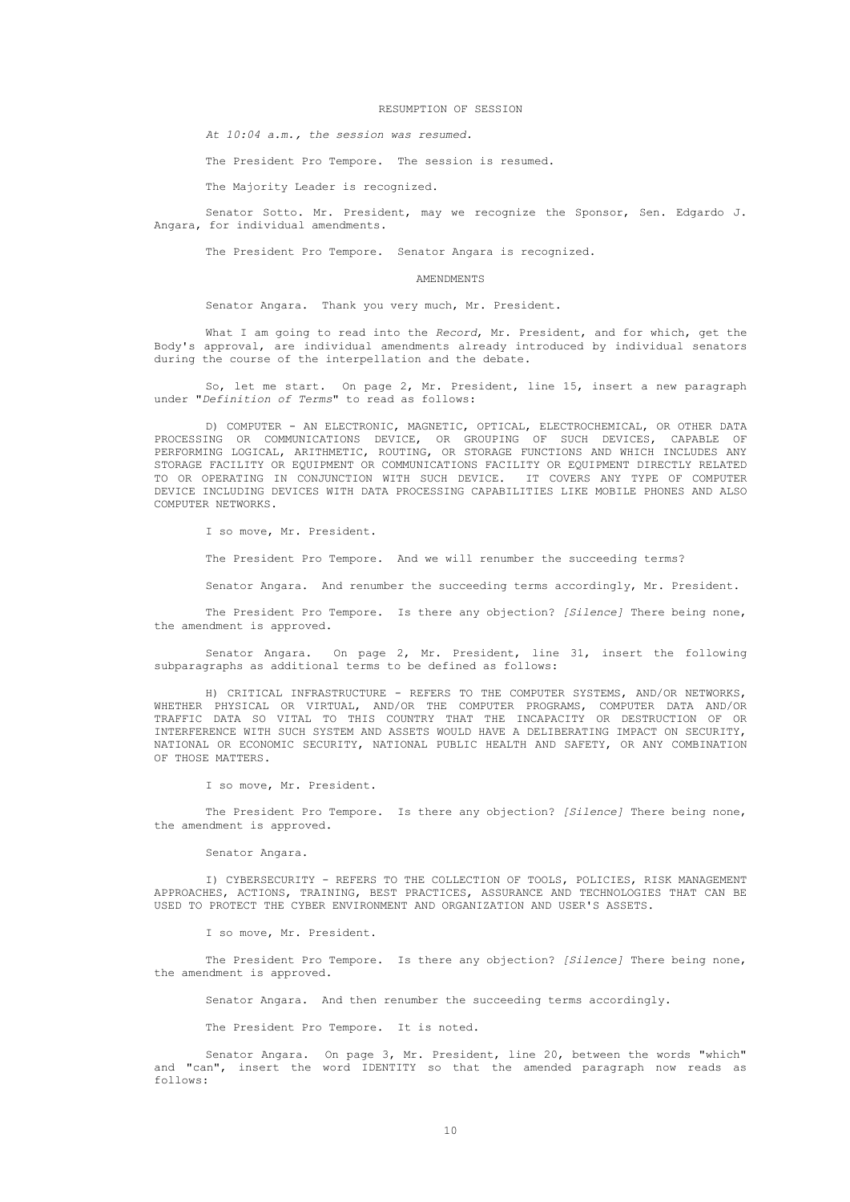### RESUMPTION OF SESSION

*At 10:04 a.m., the session was resumed.*

The President Pro Tempore. The session is resumed.

The Majority Leader is recognized.

Senator Sotto. Mr. President, may we recognize the Sponsor, Sen. Edgardo J. Angara, for individual amendments.

The President Pro Tempore. Senator Angara is recognized.

#### AMENDMENTS

Senator Angara. Thank you very much, Mr. President.

What I am going to read into the *Record*, Mr. President, and for which, get the Body's approval, are individual amendments already introduced by individual senators during the course of the interpellation and the debate.

So, let me start. On page 2, Mr. President, line 15, insert a new paragraph under "*Definition of Terms*" to read as follows:

D) COMPUTER - AN ELECTRONIC, MAGNETIC, OPTICAL, ELECTROCHEMICAL, OR OTHER DATA PROCESSING OR COMMUNICATIONS DEVICE, OR GROUPING OF SUCH DEVICES, CAPABLE OF PERFORMING LOGICAL, ARITHMETIC, ROUTING, OR STORAGE FUNCTIONS AND WHICH INCLUDES ANY STORAGE FACILITY OR EQUIPMENT OR COMMUNICATIONS FACILITY OR EQUIPMENT DIRECTLY RELATED TO OR OPERATING IN CONJUNCTION WITH SUCH DEVICE. IT COVERS ANY TYPE OF COMPUTER DEVICE INCLUDING DEVICES WITH DATA PROCESSING CAPABILITIES LIKE MOBILE PHONES AND ALSO COMPUTER NETWORKS

I so move, Mr. President.

The President Pro Tempore. And we will renumber the succeeding terms?

Senator Angara. And renumber the succeeding terms accordingly, Mr. President.

The President Pro Tempore. Is there any objection? *[Silence]* There being none, the amendment is approved.

Senator Angara. On page 2, Mr. President, line 31, insert the following subparagraphs as additional terms to be defined as follows:

H) CRITICAL INFRASTRUCTURE - REFERS TO THE COMPUTER SYSTEMS, AND/OR NETWORKS, WHETHER PHYSICAL OR VIRTUAL, AND/OR THE COMPUTER PROGRAMS, COMPUTER DATA AND/OR TRAFFIC DATA SO VITAL TO THIS COUNTRY THAT THE INCAPACITY OR DESTRUCTION OF OR INTERFERENCE WITH SUCH SYSTEM AND ASSETS WOULD HAVE A DELIBERATING IMPACT ON SECURITY, NATIONAL OR ECONOMIC SECURITY, NATIONAL PUBLIC HEALTH AND SAFETY, OR ANY COMBINATION OF THOSE MATTERS.

I so move, Mr. President.

The President Pro Tempore. Is there any objection? *[Silence]* There being none, the amendment is approved.

Senator Angara.

I) CYBERSECURITY - REFERS TO THE COLLECTION OF TOOLS, POLICIES, RISK MANAGEMENT APPROACHES, ACTIONS, TRAINING, BEST PRACTICES, ASSURANCE AND TECHNOLOGIES THAT CAN BE USED TO PROTECT THE CYBER ENVIRONMENT AND ORGANIZATION AND USER'S ASSETS.

I so move, Mr. President.

The President Pro Tempore. Is there any objection? *[Silence]* There being none, the amendment is approved.

Senator Angara. And then renumber the succeeding terms accordingly.

The President Pro Tempore. It is noted.

Senator Angara. On page 3, Mr. President, line 20, between the words "which" and "can", insert the word IDENTITY so that the amended paragraph now reads as follows: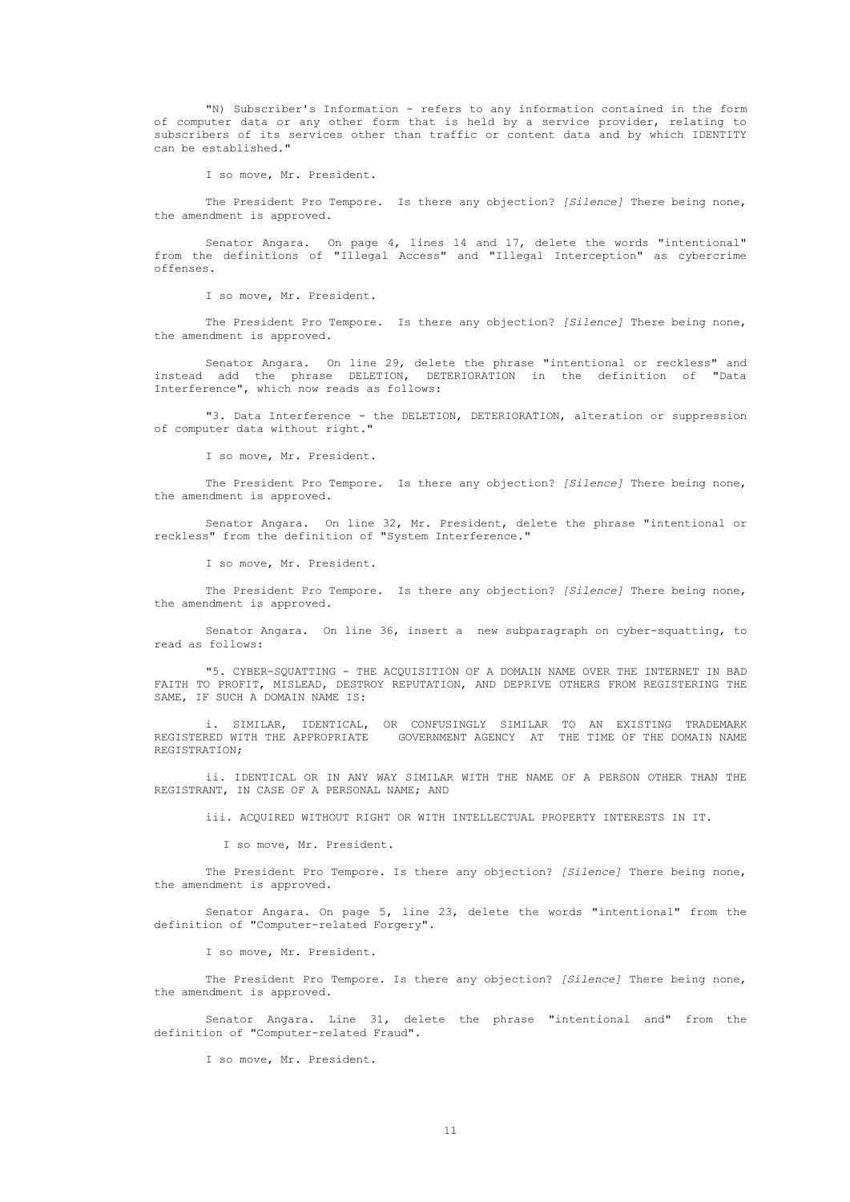"N) Subscriber's Information - refers to any information contained in the form of computer data or any other form that is held by a service provider, relating to subscribers of its services other than traffic or content data and by which IDENTITY can be established."

I so move, Mr. President.

The President Pro Tempore. Is there any objection? *[Silence]* There being none, the amendment is approved.

Senator Angara. On page 4, lines 14 and 17, delete the words "intentional" from the definitions of "Illegal Access" and "Illegal Interception" as cybercrime offenses.

I so move, Mr. President.

The President Pro Tempore. Is there any objection? *[Silence]* There being none, the amendment is approved.

Senator Angara. On line 29, delete the phrase "intentional or reckless" and instead add the phrase DELETION, DETERIORATION in the definition of "Data Interference", which now reads as follows:

"3. Data Interference - the DELETION, DETERIORATION, alteration or suppression of computer data without right."

I so move, Mr. President.

The President Pro Tempore. Is there any objection? *[Silence]* There being none, the amendment is approved.

Senator Angara. On line 32, Mr. President, delete the phrase "intentional or reckless" from the definition of "System Interference."

I so move, Mr. President.

The President Pro Tempore. Is there any objection? *[Silence]* There being none, the amendment is approved.

Senator Angara. On line 36, insert a new subparagraph on cyber-squatting, to read as follows:

"5. CYBER-SQUATTING - THE ACQUISITION OF A DOMAIN NAME OVER THE INTERNET IN BAD FAITH TO PROFIT, MISLEAD, DESTROY REPUTATION, AND DEPRIVE OTHERS FROM REGISTERING THE SAME, IF SUCH A DOMAIN NAME IS:

i. SIMILAR, IDENTICAL, OR CONFUSINGLY SIMILAR TO AN EXISTING TRADEMARK REGISTERED WITH THE APPROPRIATE GOVERNMENT AGENCY AT THE TIME OF THE DOMAIN NAME REGISTRATION;

ii. IDENTICAL OR IN ANY WAY SIMILAR WITH THE NAME OF A PERSON OTHER THAN THE REGISTRANT, IN CASE OF A PERSONAL NAME; AND

iii. ACQUIRED WITHOUT RIGHT OR WITH INTELLECTUAL PROPERTY INTERESTS IN IT.

I so move, Mr. President.

The President Pro Tempore. Is there any objection? *[Silence]* There being none, the amendment is approved.

Senator Angara. On page 5, line 23, delete the words "intentional" from the definition of "Computer-related Forgery".

I so move, Mr. President.

The President Pro Tempore. Is there any objection? *[Silence]* There being none, the amendment is approved.

Senator Angara. Line 31, delete the phrase "intentional and" from the definition of "Computer-related Fraud".

I so move, Mr. President.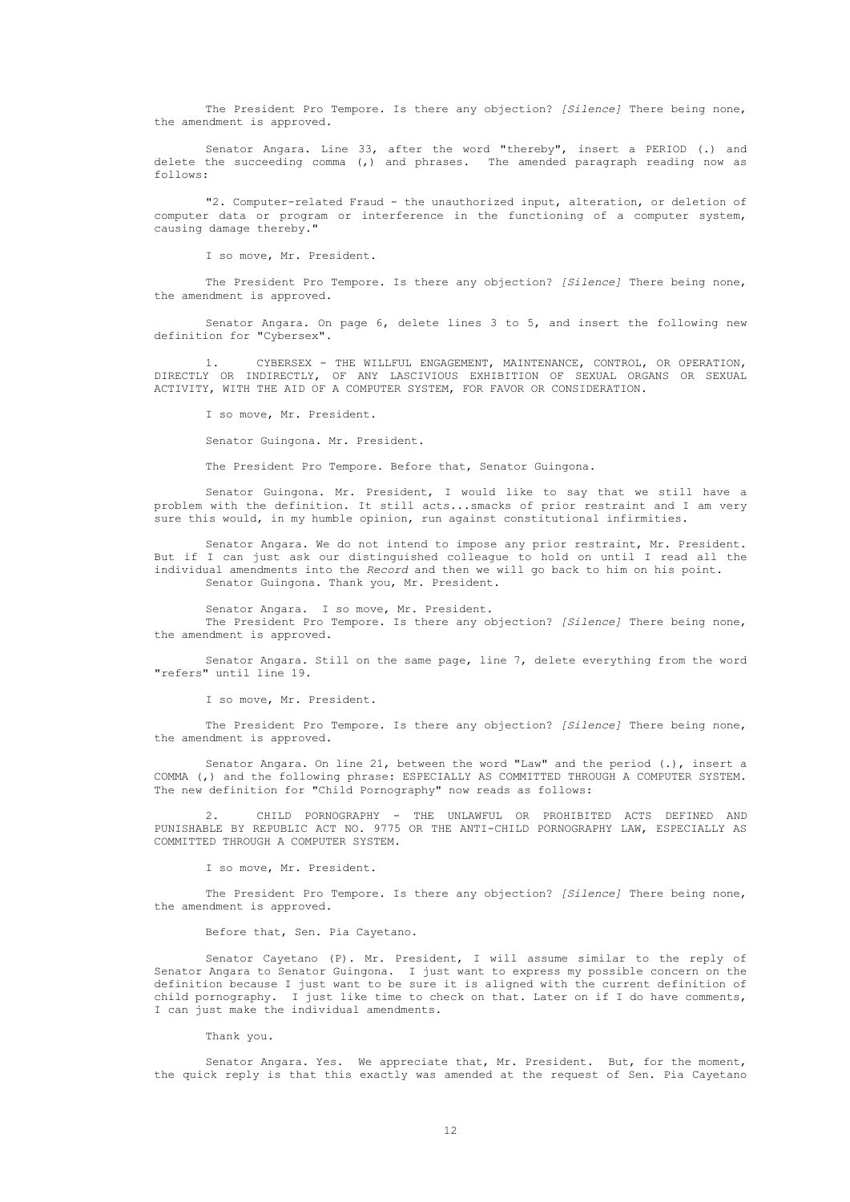The President Pro Tempore. Is there any objection? *[Silence]* There being none, the amendment is approved.

Senator Angara. Line 33, after the word "thereby", insert a PERIOD (.) and delete the succeeding comma (,) and phrases. The amended paragraph reading now as follows:

"2. Computer-related Fraud - the unauthorized input, alteration, or deletion of computer data or program or interference in the functioning of a computer system, causing damage thereby."

I so move, Mr. President.

The President Pro Tempore. Is there any objection? *[Silence]* There being none, the amendment is approved.

Senator Angara. On page 6, delete lines 3 to 5, and insert the following new definition for "Cybersex".

1. CYBERSEX - THE WILLFUL ENGAGEMENT, MAINTENANCE, CONTROL, OR OPERATION, DIRECTLY OR INDIRECTLY, OF ANY LASCIVIOUS EXHIBITION OF SEXUAL ORGANS OR SEXUAL ACTIVITY, WITH THE AID OF A COMPUTER SYSTEM, FOR FAVOR OR CONSIDERATION.

I so move, Mr. President.

Senator Guingona. Mr. President.

The President Pro Tempore. Before that, Senator Guingona.

Senator Guingona. Mr. President, I would like to say that we still have a problem with the definition. It still acts...smacks of prior restraint and I am very sure this would, in my humble opinion, run against constitutional infirmities.

Senator Angara. We do not intend to impose any prior restraint, Mr. President. But if I can just ask our distinguished colleague to hold on until I read all the individual amendments into the *Record* and then we will go back to him on his point. Senator Guingona. Thank you, Mr. President.

Senator Angara. I so move, Mr. President.

The President Pro Tempore. Is there any objection? *[Silence]* There being none, the amendment is approved.

Senator Angara. Still on the same page, line 7, delete everything from the word "refers" until line 19.

I so move, Mr. President.

The President Pro Tempore. Is there any objection? *[Silence]* There being none, the amendment is approved.

Senator Angara. On line 21, between the word "Law" and the period (.), insert a COMMA (,) and the following phrase: ESPECIALLY AS COMMITTED THROUGH A COMPUTER SYSTEM. The new definition for "Child Pornography" now reads as follows:

2. CHILD PORNOGRAPHY - THE UNLAWFUL OR PROHIBITED ACTS DEFINED AND PUNISHABLE BY REPUBLIC ACT NO. 9775 OR THE ANTI-CHILD PORNOGRAPHY LAW, ESPECIALLY AS COMMITTED THROUGH A COMPUTER SYSTEM.

I so move, Mr. President.

The President Pro Tempore. Is there any objection? *[Silence]* There being none, the amendment is approved.

Before that, Sen. Pia Cayetano.

Senator Cayetano (P). Mr. President, I will assume similar to the reply of Senator Angara to Senator Guingona. I just want to express my possible concern on the definition because I just want to be sure it is aligned with the current definition of child pornography. I just like time to check on that. Later on if I do have comments, I can just make the individual amendments.

Thank you.

Senator Angara. Yes. We appreciate that, Mr. President. But, for the moment, the quick reply is that this exactly was amended at the request of Sen. Pia Cayetano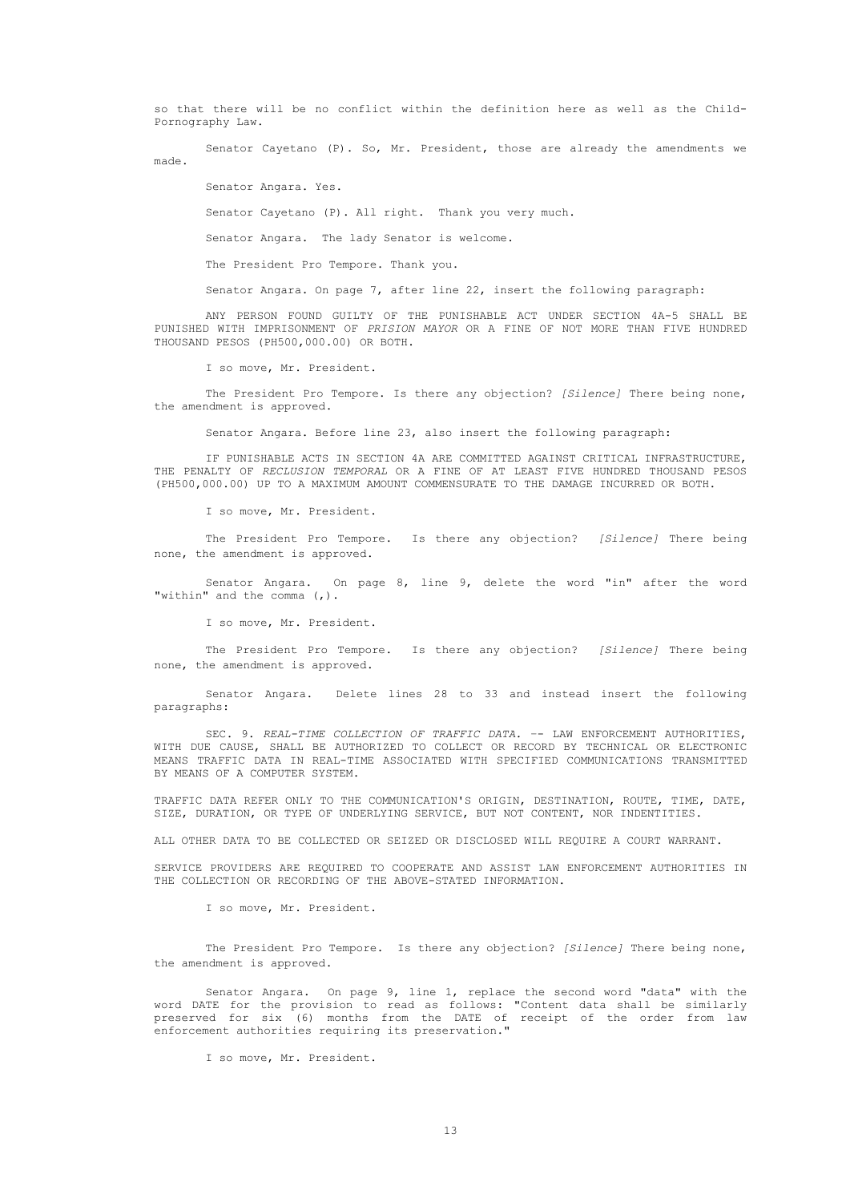so that there will be no conflict within the definition here as well as the Child-Pornography Law.

Senator Cayetano (P). So, Mr. President, those are already the amendments we made.

Senator Angara. Yes.

Senator Cayetano (P). All right. Thank you very much.

Senator Angara. The lady Senator is welcome.

The President Pro Tempore. Thank you.

Senator Angara. On page 7, after line 22, insert the following paragraph:

ANY PERSON FOUND GUILTY OF THE PUNISHABLE ACT UNDER SECTION 4A-5 SHALL BE PUNISHED WITH IMPRISONMENT OF *PRISION MAYOR* OR A FINE OF NOT MORE THAN FIVE HUNDRED THOUSAND PESOS (PH500,000.00) OR BOTH.

I so move, Mr. President.

The President Pro Tempore. Is there any objection? *[Silence]* There being none, the amendment is approved.

Senator Angara. Before line 23, also insert the following paragraph:

IF PUNISHABLE ACTS IN SECTION 4A ARE COMMITTED AGAINST CRITICAL INFRASTRUCTURE, THE PENALTY OF *RECLUSION TEMPORAL* OR A FINE OF AT LEAST FIVE HUNDRED THOUSAND PESOS (PH500,000.00) UP TO A MAXIMUM AMOUNT COMMENSURATE TO THE DAMAGE INCURRED OR BOTH.

I so move, Mr. President.

The President Pro Tempore. Is there any objection? *[Silence]* There being none, the amendment is approved.

Senator Angara. On page 8, line 9, delete the word "in" after the word "within" and the comma (,).

I so move, Mr. President.

The President Pro Tempore. Is there any objection? *[Silence]* There being none, the amendment is approved.

Senator Angara. Delete lines 28 to 33 and instead insert the following paragraphs:

SEC. 9. *REAL-TIME COLLECTION OF TRAFFIC DATA.* -- LAW ENFORCEMENT AUTHORITIES, WITH DUE CAUSE, SHALL BE AUTHORIZED TO COLLECT OR RECORD BY TECHNICAL OR ELECTRONIC MEANS TRAFFIC DATA IN REAL-TIME ASSOCIATED WITH SPECIFIED COMMUNICATIONS TRANSMITTED BY MEANS OF A COMPUTER SYSTEM.

TRAFFIC DATA REFER ONLY TO THE COMMUNICATION'S ORIGIN, DESTINATION, ROUTE, TIME, DATE, SIZE, DURATION, OR TYPE OF UNDERLYING SERVICE, BUT NOT CONTENT, NOR INDENTITIES.

ALL OTHER DATA TO BE COLLECTED OR SEIZED OR DISCLOSED WILL REQUIRE A COURT WARRANT.

SERVICE PROVIDERS ARE REQUIRED TO COOPERATE AND ASSIST LAW ENFORCEMENT AUTHORITIES IN THE COLLECTION OR RECORDING OF THE ABOVE-STATED INFORMATION.

I so move, Mr. President.

The President Pro Tempore. Is there any objection? *[Silence]* There being none, the amendment is approved.

Senator Angara. On page 9, line 1, replace the second word "data" with the word DATE for the provision to read as follows: "Content data shall be similarly preserved for six (6) months from the DATE of receipt of the order from law enforcement authorities requiring its preservation."

I so move, Mr. President.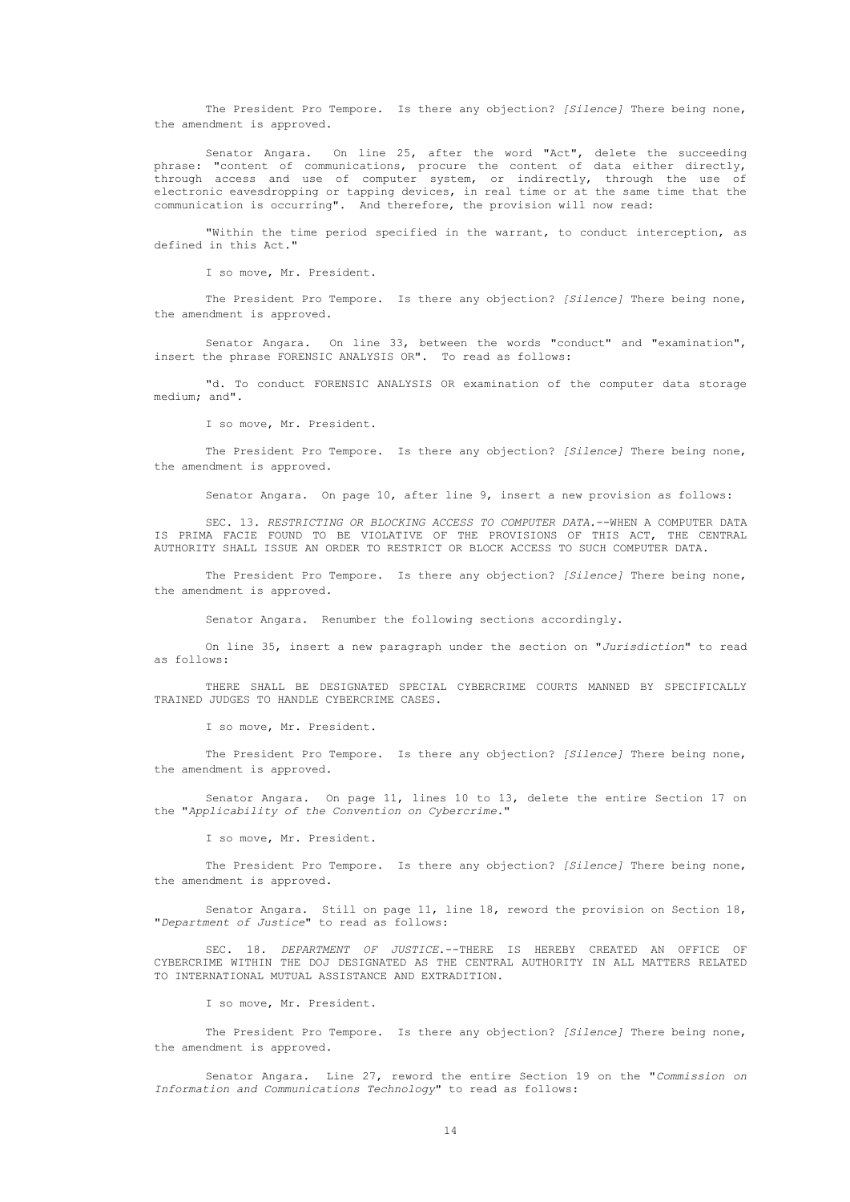The President Pro Tempore. Is there any objection? *[Silence]* There being none, the amendment is approved.

Senator Angara. On line 25, after the word "Act", delete the succeeding phrase: "content of communications, procure the content of data either directly, through access and use of computer system, or indirectly, through the use of electronic eavesdropping or tapping devices, in real time or at the same time that the communication is occurring". And therefore, the provision will now read:

"Within the time period specified in the warrant, to conduct interception, as defined in this Act."

I so move, Mr. President.

The President Pro Tempore. Is there any objection? *[Silence]* There being none, the amendment is approved.

Senator Angara. On line 33, between the words "conduct" and "examination", insert the phrase FORENSIC ANALYSIS OR". To read as follows:

"d. To conduct FORENSIC ANALYSIS OR examination of the computer data storage medium; and".

I so move, Mr. President.

The President Pro Tempore. Is there any objection? *[Silence]* There being none, the amendment is approved.

Senator Angara. On page 10, after line 9, insert a new provision as follows:

SEC. 13. *RESTRICTING OR BLOCKING ACCESS TO COMPUTER DATA.*--WHEN A COMPUTER DATA IS PRIMA FACIE FOUND TO BE VIOLATIVE OF THE PROVISIONS OF THIS ACT, THE CENTRAL AUTHORITY SHALL ISSUE AN ORDER TO RESTRICT OR BLOCK ACCESS TO SUCH COMPUTER DATA.

The President Pro Tempore. Is there any objection? *[Silence]* There being none, the amendment is approved.

Senator Angara. Renumber the following sections accordingly.

On line 35, insert a new paragraph under the section on "*Jurisdiction*" to read as follows:

THERE SHALL BE DESIGNATED SPECIAL CYBERCRIME COURTS MANNED BY SPECIFICALLY TRAINED JUDGES TO HANDLE CYBERCRIME CASES.

I so move, Mr. President.

The President Pro Tempore. Is there any objection? *[Silence]* There being none, the amendment is approved.

Senator Angara. On page 11, lines 10 to 13, delete the entire Section 17 on the "*Applicability of the Convention on Cybercrime.*"

I so move, Mr. President.

The President Pro Tempore. Is there any objection? *[Silence]* There being none, the amendment is approved.

Senator Angara. Still on page 11, line 18, reword the provision on Section 18, "*Department of Justice*" to read as follows:

SEC. 18. *DEPARTMENT OF JUSTICE*.--THERE IS HEREBY CREATED AN OFFICE OF CYBERCRIME WITHIN THE DOJ DESIGNATED AS THE CENTRAL AUTHORITY IN ALL MATTERS RELATED TO INTERNATIONAL MUTUAL ASSISTANCE AND EXTRADITION.

I so move, Mr. President.

The President Pro Tempore. Is there any objection? *[Silence]* There being none, the amendment is approved.

Senator Angara. Line 27, reword the entire Section 19 on the "*Commission on Information and Communications Technology*" to read as follows: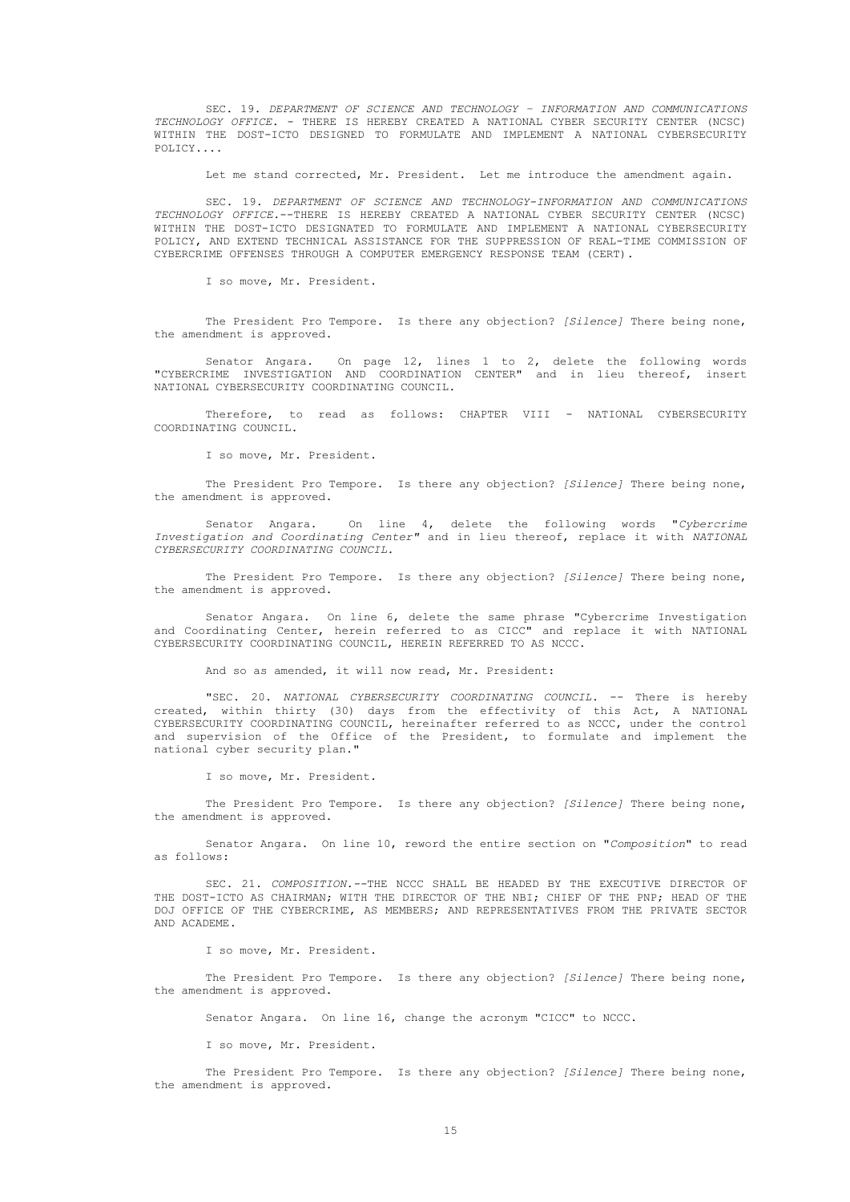SEC. 19. *DEPARTMENT OF SCIENCE AND TECHNOLOGY – INFORMATION AND COMMUNICATIONS TECHNOLOGY OFFICE*. - THERE IS HEREBY CREATED A NATIONAL CYBER SECURITY CENTER (NCSC) WITHIN THE DOST-ICTO DESIGNED TO FORMULATE AND IMPLEMENT A NATIONAL CYBERSECURITY POLICY....

Let me stand corrected, Mr. President. Let me introduce the amendment again.

SEC. 19. *DEPARTMENT OF SCIENCE AND TECHNOLOGY-INFORMATION AND COMMUNICATIONS TECHNOLOGY OFFICE.*--THERE IS HEREBY CREATED A NATIONAL CYBER SECURITY CENTER (NCSC) WITHIN THE DOST-ICTO DESIGNATED TO FORMULATE AND IMPLEMENT A NATIONAL CYBERSECURITY POLICY, AND EXTEND TECHNICAL ASSISTANCE FOR THE SUPPRESSION OF REAL-TIME COMMISSION OF CYBERCRIME OFFENSES THROUGH A COMPUTER EMERGENCY RESPONSE TEAM (CERT).

I so move, Mr. President.

The President Pro Tempore. Is there any objection? *[Silence]* There being none, the amendment is approved.

Senator Angara. On page 12, lines 1 to 2, delete the following words "CYBERCRIME INVESTIGATION AND COORDINATION CENTER" and in lieu thereof, insert NATIONAL CYBERSECURITY COORDINATING COUNCIL.

Therefore, to read as follows: CHAPTER VIII - NATIONAL CYBERSECURITY COORDINATING COUNCIL.

I so move, Mr. President.

The President Pro Tempore. Is there any objection? *[Silence]* There being none, the amendment is approved.

Senator Angara. On line 4, delete the following words "*Cybercrime Investigation and Coordinating Center"* and in lieu thereof, replace it with *NATIONAL CYBERSECURITY COORDINATING COUNCIL.* 

The President Pro Tempore. Is there any objection? *[Silence]* There being none, the amendment is approved.

Senator Angara. On line 6, delete the same phrase "Cybercrime Investigation and Coordinating Center, herein referred to as CICC" and replace it with NATIONAL CYBERSECURITY COORDINATING COUNCIL, HEREIN REFERRED TO AS NCCC.

And so as amended, it will now read, Mr. President:

"SEC. 20. *NATIONAL CYBERSECURITY COORDINATING COUNCIL.* -- There is hereby created, within thirty (30) days from the effectivity of this Act, A NATIONAL CYBERSECURITY COORDINATING COUNCIL, hereinafter referred to as NCCC, under the control and supervision of the Office of the President, to formulate and implement the national cyber security plan."

I so move, Mr. President.

The President Pro Tempore. Is there any objection? *[Silence]* There being none, the amendment is approved.

Senator Angara. On line 10, reword the entire section on "*Composition*" to read as follows:

SEC. 21. *COMPOSITION.--*THE NCCC SHALL BE HEADED BY THE EXECUTIVE DIRECTOR OF THE DOST-ICTO AS CHAIRMAN; WITH THE DIRECTOR OF THE NBI; CHIEF OF THE PNP; HEAD OF THE DOJ OFFICE OF THE CYBERCRIME, AS MEMBERS; AND REPRESENTATIVES FROM THE PRIVATE SECTOR AND ACADEME.

I so move, Mr. President.

The President Pro Tempore. Is there any objection? *[Silence]* There being none, the amendment is approved.

Senator Angara. On line 16, change the acronym "CICC" to NCCC.

I so move, Mr. President.

The President Pro Tempore. Is there any objection? *[Silence]* There being none, the amendment is approved.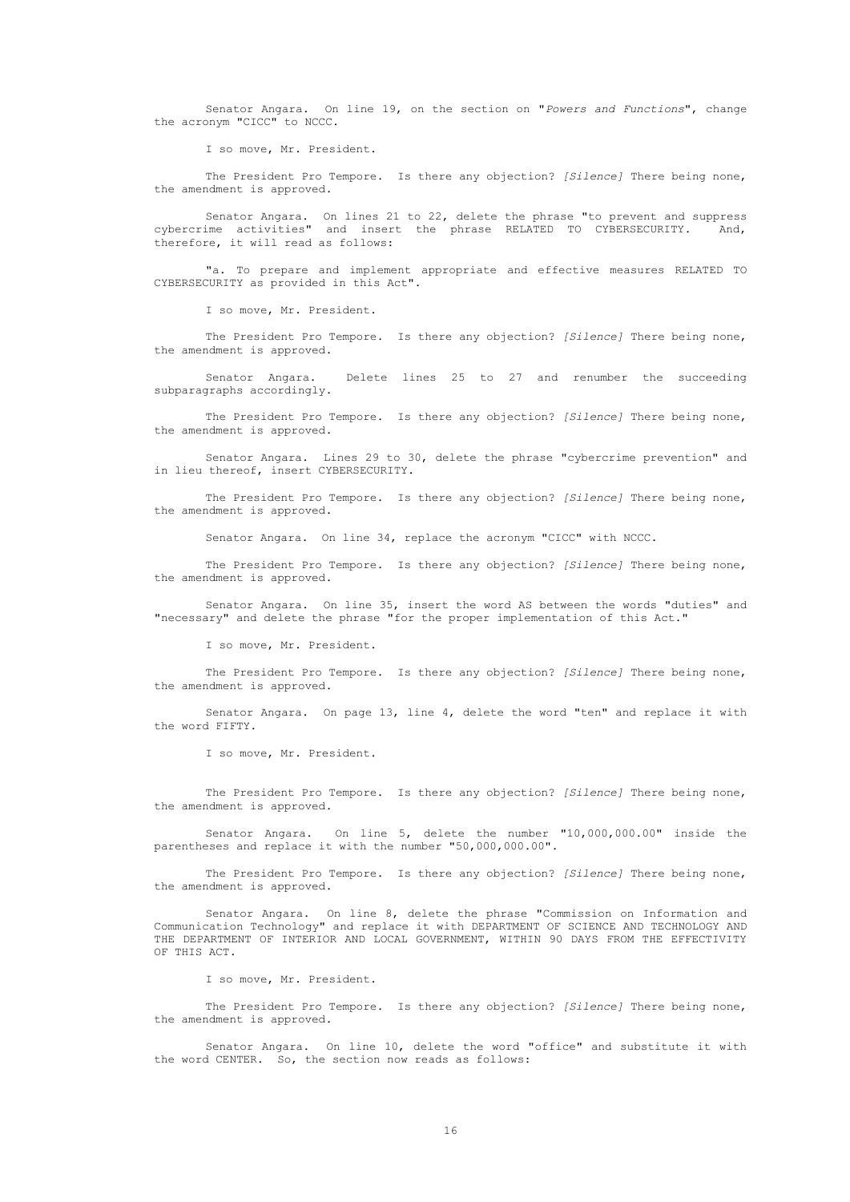Senator Angara. On line 19, on the section on "*Powers and Functions*", change the acronym "CICC" to NCCC.

I so move, Mr. President.

The President Pro Tempore. Is there any objection? *[Silence]* There being none, the amendment is approved.

Senator Angara. On lines 21 to 22, delete the phrase "to prevent and suppress cybercrime activities" and insert the phrase RELATED TO CYBERSECURITY. And, therefore, it will read as follows:

"a. To prepare and implement appropriate and effective measures RELATED TO CYBERSECURITY as provided in this Act".

I so move, Mr. President.

The President Pro Tempore. Is there any objection? *[Silence]* There being none, the amendment is approved.

Senator Angara. Delete lines 25 to 27 and renumber the succeeding subparagraphs accordingly.

The President Pro Tempore. Is there any objection? *[Silence]* There being none, the amendment is approved.

Senator Angara. Lines 29 to 30, delete the phrase "cybercrime prevention" and in lieu thereof, insert CYBERSECURITY.

The President Pro Tempore. Is there any objection? *[Silence]* There being none, the amendment is approved.

Senator Angara. On line 34, replace the acronym "CICC" with NCCC.

The President Pro Tempore. Is there any objection? *[Silence]* There being none, the amendment is approved.

Senator Angara. On line 35, insert the word AS between the words "duties" and "necessary" and delete the phrase "for the proper implementation of this Act."

I so move, Mr. President.

The President Pro Tempore. Is there any objection? *[Silence]* There being none, the amendment is approved.

Senator Angara. On page 13, line 4, delete the word "ten" and replace it with the word FIFTY.

I so move, Mr. President.

The President Pro Tempore. Is there any objection? *[Silence]* There being none, the amendment is approved.

Senator Angara. On line 5, delete the number "10,000,000.00" inside the parentheses and replace it with the number "50,000,000.00".

The President Pro Tempore. Is there any objection? *[Silence]* There being none, the amendment is approved.

Senator Angara. On line 8, delete the phrase "Commission on Information and Communication Technology" and replace it with DEPARTMENT OF SCIENCE AND TECHNOLOGY AND THE DEPARTMENT OF INTERIOR AND LOCAL GOVERNMENT, WITHIN 90 DAYS FROM THE EFFECTIVITY OF THIS ACT.

I so move, Mr. President.

The President Pro Tempore. Is there any objection? *[Silence]* There being none, the amendment is approved.

Senator Angara. On line 10, delete the word "office" and substitute it with the word CENTER. So, the section now reads as follows: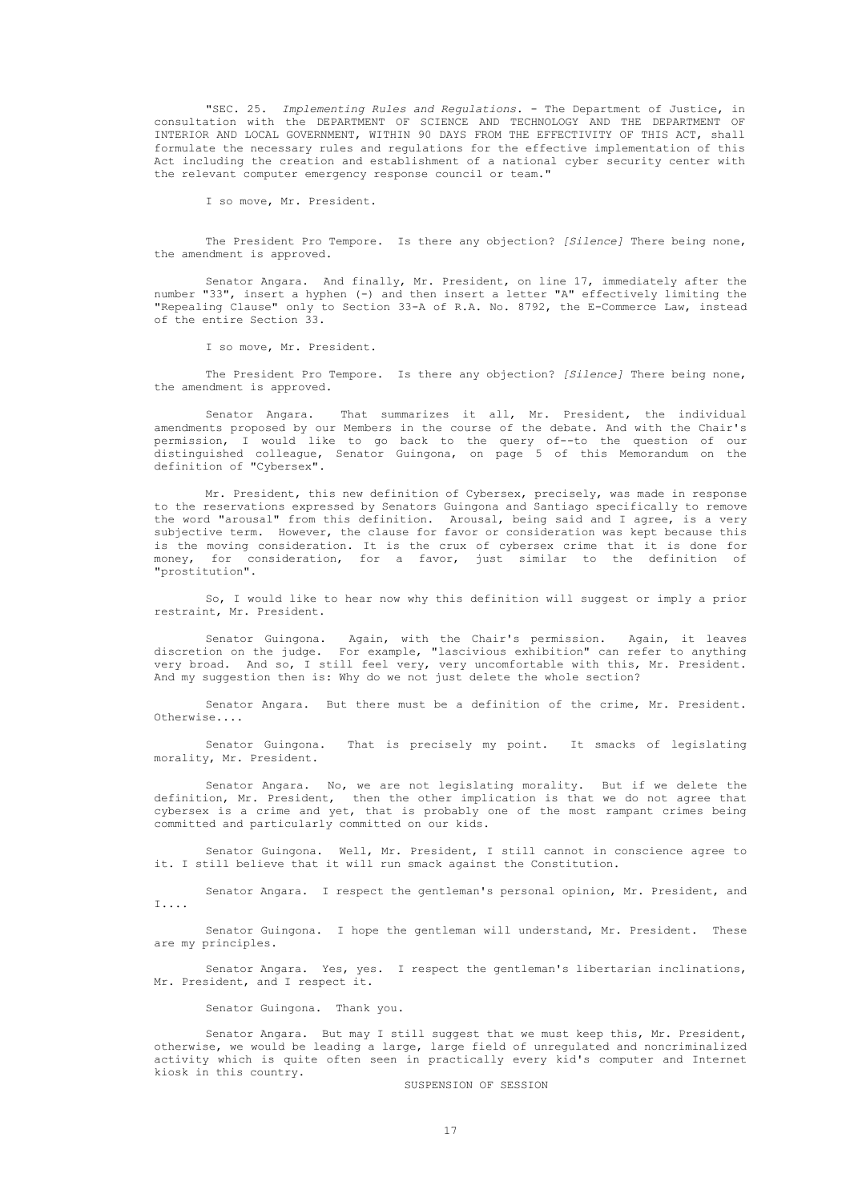"SEC. 25. *Implementing Rules and Regulations*. - The Department of Justice, in consultation with the DEPARTMENT OF SCIENCE AND TECHNOLOGY AND THE DEPARTMENT OF INTERIOR AND LOCAL GOVERNMENT, WITHIN 90 DAYS FROM THE EFFECTIVITY OF THIS ACT, shall formulate the necessary rules and regulations for the effective implementation of this Act including the creation and establishment of a national cyber security center with the relevant computer emergency response council or team."

I so move, Mr. President.

The President Pro Tempore. Is there any objection? *[Silence]* There being none, the amendment is approved.

Senator Angara. And finally, Mr. President, on line 17, immediately after the number "33", insert a hyphen (-) and then insert a letter "A" effectively limiting the "Repealing Clause" only to Section 33-A of R.A. No. 8792, the E-Commerce Law, instead of the entire Section 33.

I so move, Mr. President.

The President Pro Tempore. Is there any objection? *[Silence]* There being none, the amendment is approved.

Senator Angara. That summarizes it all, Mr. President, the individual amendments proposed by our Members in the course of the debate. And with the Chair's permission, I would like to go back to the query of--to the question of our distinguished colleague, Senator Guingona, on page 5 of this Memorandum on the definition of "Cybersex".

Mr. President, this new definition of Cybersex, precisely, was made in response to the reservations expressed by Senators Guingona and Santiago specifically to remove the word "arousal" from this definition. Arousal, being said and I agree, is a very subjective term. However, the clause for favor or consideration was kept because this is the moving consideration. It is the crux of cybersex crime that it is done for money, for consideration, for a favor, just similar to the definition of "prostitution".

So, I would like to hear now why this definition will suggest or imply a prior restraint, Mr. President.

Senator Guingona. Again, with the Chair's permission. Again, it leaves discretion on the judge. For example, "lascivious exhibition" can refer to anything very broad. And so, I still feel very, very uncomfortable with this, Mr. President. And my suggestion then is: Why do we not just delete the whole section?

Senator Angara. But there must be a definition of the crime, Mr. President. Otherwise....

Senator Guingona. That is precisely my point. It smacks of legislating morality, Mr. President.

Senator Angara. No, we are not legislating morality. But if we delete the definition, Mr. President, then the other implication is that we do not agree that cybersex is a crime and yet, that is probably one of the most rampant crimes being committed and particularly committed on our kids.

Senator Guingona. Well, Mr. President, I still cannot in conscience agree to it. I still believe that it will run smack against the Constitution.

Senator Angara. I respect the gentleman's personal opinion, Mr. President, and I....

Senator Guingona. I hope the gentleman will understand, Mr. President. These are my principles.

Senator Angara. Yes, yes. I respect the gentleman's libertarian inclinations, Mr. President, and I respect it.

Senator Guingona. Thank you.

Senator Angara. But may I still suggest that we must keep this, Mr. President, otherwise, we would be leading a large, large field of unregulated and noncriminalized activity which is quite often seen in practically every kid's computer and Internet kiosk in this country.

SUSPENSION OF SESSION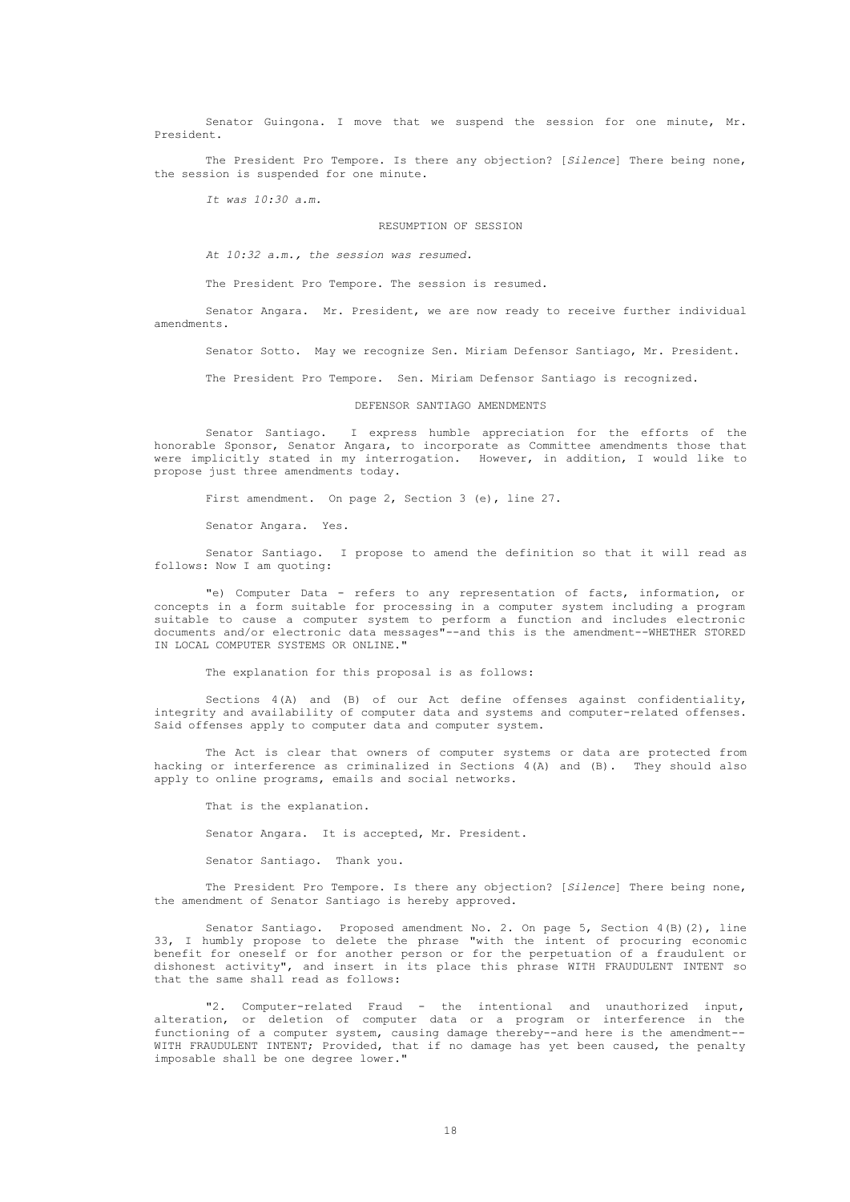Senator Guingona. I move that we suspend the session for one minute, Mr. President.

The President Pro Tempore. Is there any objection? [*Silence*] There being none, the session is suspended for one minute.

*It was 10:30 a.m.*

# RESUMPTION OF SESSION

*At 10:32 a.m., the session was resumed.*

The President Pro Tempore. The session is resumed.

Senator Angara. Mr. President, we are now ready to receive further individual amendments.

Senator Sotto. May we recognize Sen. Miriam Defensor Santiago, Mr. President.

The President Pro Tempore. Sen. Miriam Defensor Santiago is recognized.

### DEFENSOR SANTIAGO AMENDMENTS

Senator Santiago. I express humble appreciation for the efforts of the honorable Sponsor, Senator Angara, to incorporate as Committee amendments those that were implicitly stated in my interrogation. However, in addition, I would like to propose just three amendments today.

First amendment. On page 2, Section 3 (e), line 27.

Senator Angara. Yes.

Senator Santiago. I propose to amend the definition so that it will read as follows: Now I am quoting:

"e) Computer Data - refers to any representation of facts, information, or concepts in a form suitable for processing in a computer system including a program suitable to cause a computer system to perform a function and includes electronic documents and/or electronic data messages"--and this is the amendment--WHETHER STORED IN LOCAL COMPUTER SYSTEMS OR ONLINE."

The explanation for this proposal is as follows:

Sections 4(A) and (B) of our Act define offenses against confidentiality, integrity and availability of computer data and systems and computer-related offenses. Said offenses apply to computer data and computer system.

The Act is clear that owners of computer systems or data are protected from hacking or interference as criminalized in Sections 4(A) and (B). They should also apply to online programs, emails and social networks.

That is the explanation.

Senator Angara. It is accepted, Mr. President.

Senator Santiago. Thank you.

The President Pro Tempore. Is there any objection? [*Silence*] There being none, the amendment of Senator Santiago is hereby approved.

Senator Santiago. Proposed amendment No. 2. On page 5, Section 4(B)(2), line 33, I humbly propose to delete the phrase "with the intent of procuring economic benefit for oneself or for another person or for the perpetuation of a fraudulent or dishonest activity", and insert in its place this phrase WITH FRAUDULENT INTENT so that the same shall read as follows:

"2. Computer-related Fraud - the intentional and unauthorized input, alteration, or deletion of computer data or a program or interference in the functioning of a computer system, causing damage thereby--and here is the amendment-- WITH FRAUDULENT INTENT; Provided, that if no damage has yet been caused, the penalty imposable shall be one degree lower."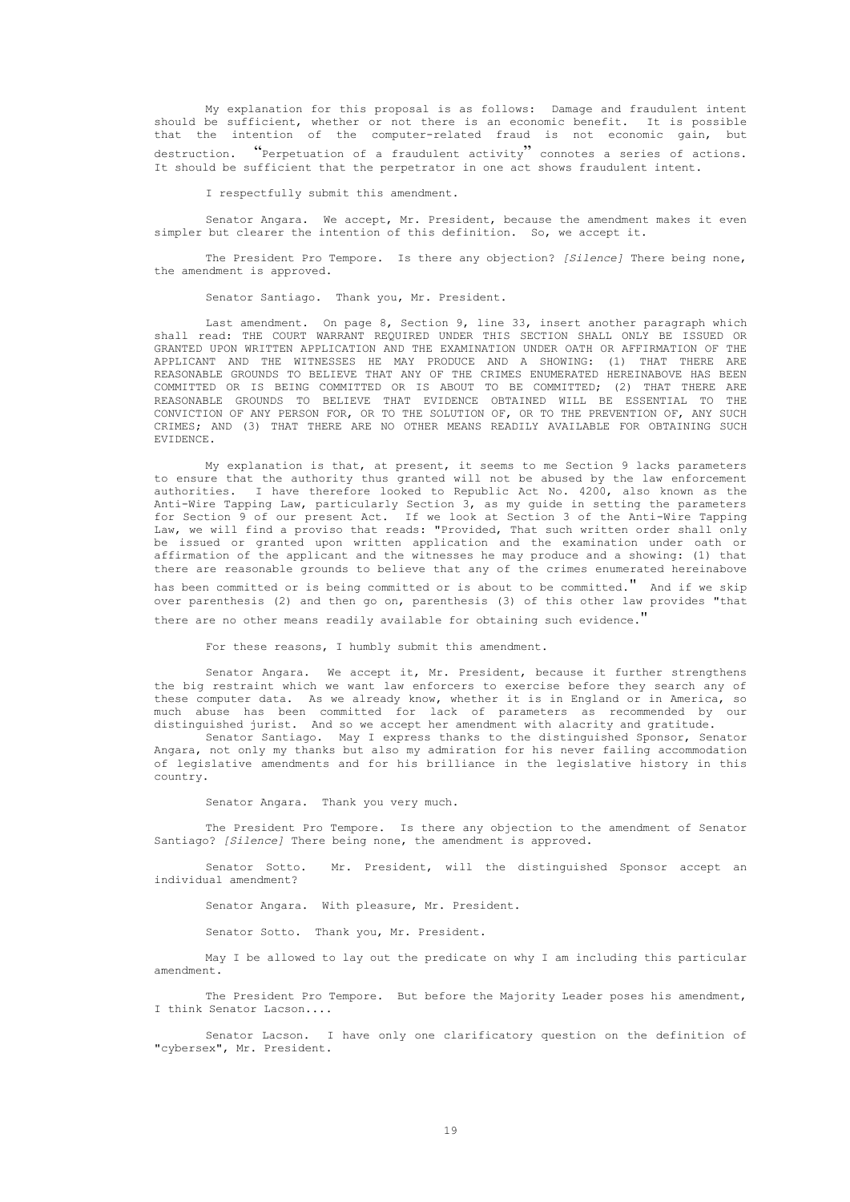My explanation for this proposal is as follows: Damage and fraudulent intent should be sufficient, whether or not there is an economic benefit. It is possible that the intention of the computer-related fraud is not economic gain, but destruction. "Perpetuation of a fraudulent activity" connotes a series of actions. It should be sufficient that the perpetrator in one act shows fraudulent intent.

I respectfully submit this amendment.

Senator Angara. We accept, Mr. President, because the amendment makes it even simpler but clearer the intention of this definition. So, we accept it.

The President Pro Tempore. Is there any objection? *[Silence]* There being none, the amendment is approved.

Senator Santiago. Thank you, Mr. President.

Last amendment. On page 8, Section 9, line 33, insert another paragraph which shall read: THE COURT WARRANT REQUIRED UNDER THIS SECTION SHALL ONLY BE ISSUED OR GRANTED UPON WRITTEN APPLICATION AND THE EXAMINATION UNDER OATH OR AFFIRMATION OF THE APPLICANT AND THE WITNESSES HE MAY PRODUCE AND A SHOWING: (1) THAT THERE ARE REASONABLE GROUNDS TO BELIEVE THAT ANY OF THE CRIMES ENUMERATED HEREINABOVE HAS BEEN COMMITTED OR IS BEING COMMITTED OR IS ABOUT TO BE COMMITTED; (2) THAT THERE ARE REASONABLE GROUNDS TO BELIEVE THAT EVIDENCE OBTAINED WILL BE ESSENTIAL TO THE CONVICTION OF ANY PERSON FOR, OR TO THE SOLUTION OF, OR TO THE PREVENTION OF, ANY SUCH CRIMES; AND (3) THAT THERE ARE NO OTHER MEANS READILY AVAILABLE FOR OBTAINING SUCH EVIDENCE.

My explanation is that, at present, it seems to me Section 9 lacks parameters to ensure that the authority thus granted will not be abused by the law enforcement authorities. I have therefore looked to Republic Act No. 4200, also known as the Anti-Wire Tapping Law, particularly Section 3, as my guide in setting the parameters for Section 9 of our present Act. If we look at Section 3 of the Anti-Wire Tapping Law, we will find a proviso that reads: "Provided, That such written order shall only be issued or granted upon written application and the examination under oath or affirmation of the applicant and the witnesses he may produce and a showing: (1) that there are reasonable grounds to believe that any of the crimes enumerated hereinabove has been committed or is being committed or is about to be committed." And if we skip over parenthesis (2) and then go on, parenthesis (3) of this other law provides "that

there are no other means readily available for obtaining such evidence."

For these reasons, I humbly submit this amendment.

Senator Angara. We accept it, Mr. President, because it further strengthens the big restraint which we want law enforcers to exercise before they search any of these computer data. As we already know, whether it is in England or in America, so much abuse has been committed for lack of parameters as recommended by our distinguished jurist. And so we accept her amendment with alacrity and gratitude.

Senator Santiago. May I express thanks to the distinguished Sponsor, Senator Angara, not only my thanks but also my admiration for his never failing accommodation of legislative amendments and for his brilliance in the legislative history in this country.

Senator Angara. Thank you very much.

The President Pro Tempore. Is there any objection to the amendment of Senator Santiago? *[Silence]* There being none, the amendment is approved.

Senator Sotto. Mr. President, will the distinguished Sponsor accept an individual amendment?

Senator Angara. With pleasure, Mr. President.

Senator Sotto. Thank you, Mr. President.

May I be allowed to lay out the predicate on why I am including this particular amendment.

The President Pro Tempore. But before the Majority Leader poses his amendment, I think Senator Lacson....

Senator Lacson. I have only one clarificatory question on the definition of "cybersex", Mr. President.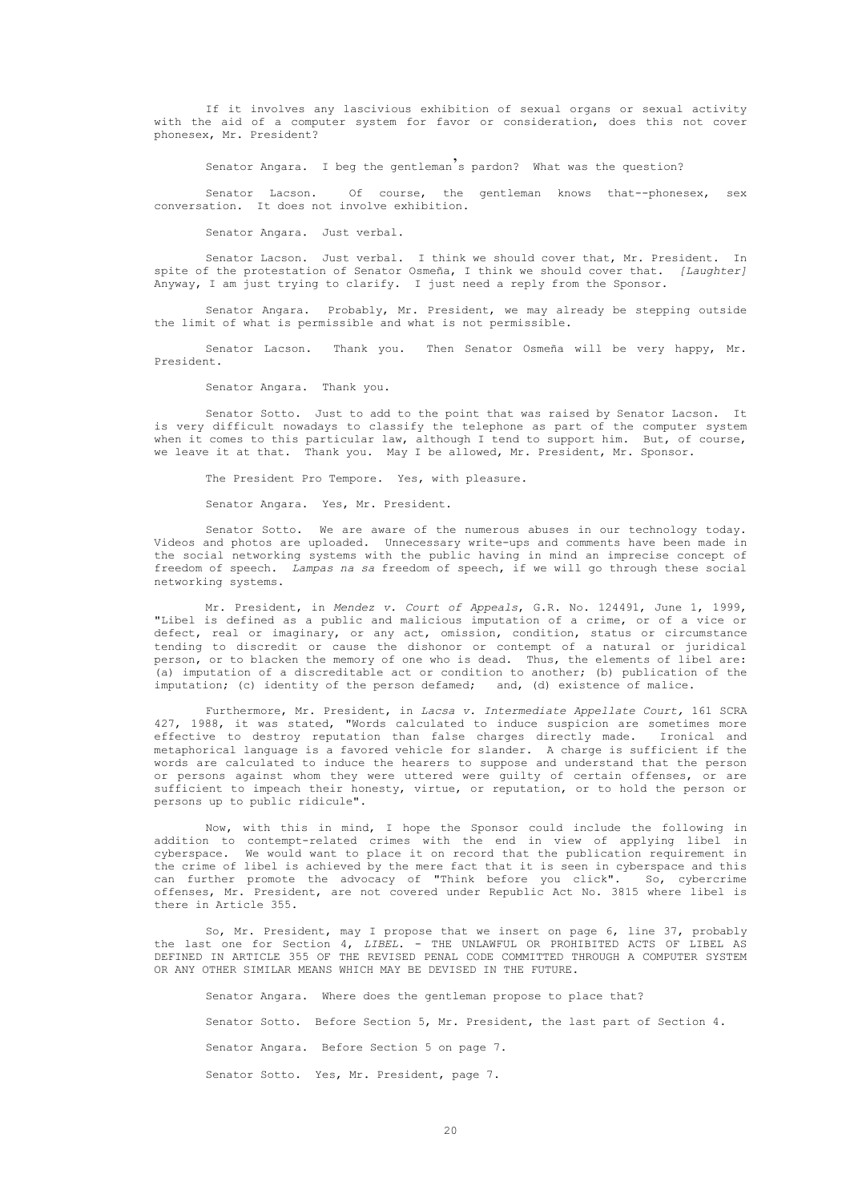If it involves any lascivious exhibition of sexual organs or sexual activity with the aid of a computer system for favor or consideration, does this not cover phonesex, Mr. President?

Senator Angara. I beg the gentleman's pardon? What was the question?

Senator Lacson. Of course, the gentleman knows that--phonesex, sex conversation. It does not involve exhibition.

Senator Angara. Just verbal.

Senator Lacson. Just verbal. I think we should cover that, Mr. President. In spite of the protestation of Senator Osmeña, I think we should cover that. *[Laughter]* Anyway, I am just trying to clarify. I just need a reply from the Sponsor.

Senator Angara. Probably, Mr. President, we may already be stepping outside the limit of what is permissible and what is not permissible.

Senator Lacson. Thank you. Then Senator Osmeña will be very happy, Mr. President.

Senator Angara. Thank you.

Senator Sotto. Just to add to the point that was raised by Senator Lacson. It is very difficult nowadays to classify the telephone as part of the computer system when it comes to this particular law, although I tend to support him. But, of course, we leave it at that. Thank you. May I be allowed, Mr. President, Mr. Sponsor.

The President Pro Tempore. Yes, with pleasure.

Senator Angara. Yes, Mr. President.

Senator Sotto. We are aware of the numerous abuses in our technology today. Videos and photos are uploaded. Unnecessary write-ups and comments have been made in the social networking systems with the public having in mind an imprecise concept of freedom of speech. *Lampas na sa* freedom of speech, if we will go through these social networking systems.

Mr. President, in *Mendez v. Court of Appeals*, G.R. No. 124491, June 1, 1999, "Libel is defined as a public and malicious imputation of a crime, or of a vice or defect, real or imaginary, or any act, omission, condition, status or circumstance tending to discredit or cause the dishonor or contempt of a natural or juridical person, or to blacken the memory of one who is dead. Thus, the elements of libel are: (a) imputation of a discreditable act or condition to another; (b) publication of the imputation; (c) identity of the person defamed; and, (d) existence of malice.

Furthermore, Mr. President, in *Lacsa v. Intermediate Appellate Court,* 161 SCRA 427, 1988, it was stated, "Words calculated to induce suspicion are sometimes more effective to destroy reputation than false charges directly made. Ironical and metaphorical language is a favored vehicle for slander. A charge is sufficient if the words are calculated to induce the hearers to suppose and understand that the person or persons against whom they were uttered were guilty of certain offenses, or are sufficient to impeach their honesty, virtue, or reputation, or to hold the person or persons up to public ridicule".

Now, with this in mind, I hope the Sponsor could include the following in addition to contempt-related crimes with the end in view of applying libel in cyberspace. We would want to place it on record that the publication requirement in the crime of libel is achieved by the mere fact that it is seen in cyberspace and this can further promote the advocacy of "Think before you click". So, cybercrime offenses, Mr. President, are not covered under Republic Act No. 3815 where libel is there in Article 355.

So, Mr. President, may I propose that we insert on page 6, line 37, probably the last one for Section 4, *LIBEL*. - THE UNLAWFUL OR PROHIBITED ACTS OF LIBEL AS DEFINED IN ARTICLE 355 OF THE REVISED PENAL CODE COMMITTED THROUGH A COMPUTER SYSTEM OR ANY OTHER SIMILAR MEANS WHICH MAY BE DEVISED IN THE FUTURE.

Senator Angara. Where does the gentleman propose to place that? Senator Sotto. Before Section 5, Mr. President, the last part of Section 4. Senator Angara. Before Section 5 on page 7. Senator Sotto. Yes, Mr. President, page 7.